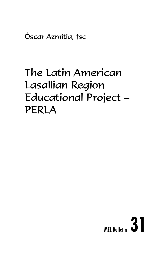Óscar Azmitia, fsc

# The Latin American Lasallian Region Educational Project – PERLA

# **MEL Bulletin 31**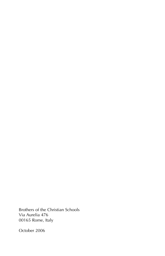Brothers of the Christian Schools Via Aurelia 476 00165 Rome, Italy

October 2006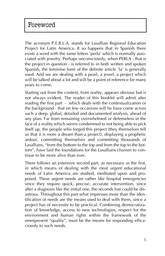# Foreword

The acronym P.E.R.L.A. stands for Lasallian Regional Education Project for Latin America. It so happens that in Spanish there exists a word with the same letters 'perla' which is normally associated with jewelry. Perhaps unconsciously, when PERLA - that is the project in question - is referred to in both written and spoken Spanish, the feminine form of the definite article 'la' is generally used. And we are dealing with a pearl, a jewel, a project which will be talked about a lot and will be a point of reference for many years to come.

Starting out from the context, from reality, appears obvious but is not always evident. The reader of this booklet will admit after reading the first part - which deals with the contextualization or the background - that on few occasions will he have come across such a deep, global, detailed and documented analysis, ahead of any plan. Far from remaining overwhelmed or defenseless in the face of a reality which seems condemned to not being able to pick itself up, the people who forged this project (they themselves tell us that it is more a dream than a project), displaying a prophetic ardour, committing themselves and committing thousands of Lasallians, "from the bottom to the top and from the top to the bottom", have laid the foundations for the Lasallians charism to continue to be more alive than ever.

There follows an extensive second part, as necessary as the first, in which means of dealing with the most urgent educational needs of Latin America are studied, meditated upon and proposed. These urgent needs are rather like hospital emergencies since they require quick, precise, accurate intervention, since after a diagnosis like the initial one, the seconds lost could be disastrous. Throughout this part what impresses more than the identification of needs are the means used to deal with them, since a project has of necessity to be practical. Combining democratization of knowledge, access to new technologies, respect for the environment and human rights within the framework of the omnipresent "quality", must be the means for responding efficaciously to such needs.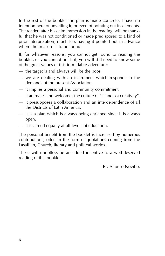In the rest of the booklet the plan is made concrete. I have no intention here of unveiling it, or even of pointing out its elements. The reader, after his calm immersion in the reading, will be thankful that he was not conditioned or made predisposed to a kind of prior interpretation, much less having it pointed out in advance where the treasure is to be found.

If, for whatever reasons, you cannot get round to reading the booklet, or you cannot finish it, you will still need to know some of the great values of this formidable adventure:

- the target is and always will be the poor,
- we are dealing with an instrument which responds to the demands of the present Association,
- it implies a personal and community commitment,
- it animates and welcomes the culture of "islands of creativity",
- it presupposes a collaboration and an interdependence of all the Districts of Latin America,
- it is a plan which is always being enriched since it is always open,
- it is aimed equally at all levels of education.

The personal benefit from the booklet is increased by numerous contributions, often in the form of quotations coming from the Lasallian, Church, literary and political worlds.

These will doubtless be an added incentive to a well-deserved reading of this booklet.

Br. Alfonso Novillo.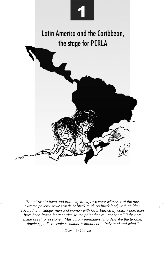

*"From town to town and from city to city, we were witnesses of the most extreme poverty: towns made of black mud, on black land, with children covered with sludge; men and women with faces burned by cold, where tears have been frozen for centuries, to the point that you cannot tell if they are made of salt or of stone... Music from serenaders who describe the terrible, timeless, godless, sunless solitude without corn. Only mud and wind."*

Oswaldo Guayasamín.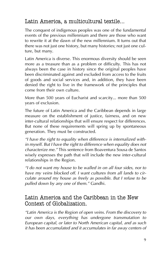# Latin America, a multicultural textile...

The conquest of indigenous peoples was one of the fundamental events of the previous millennium and there are those who want to rewrite it at the dawn of the new millennium. It turns out that there was not just one history, but many histories; not just one culture, but many.

Latin America is diverse. This enormous diversity should be seen more as a treasure than as a problem or difficulty. This has not always been the case in history since the original peoples have been discriminated against and excluded from access to the fruits of goods and social services and, in addition, they have been denied the right to live in the framework of the principles that come from their own culture.

More than 500 years of Eucharist and scarcity... more than 500 years of exclusion.

The future of Latin America and the Caribbean depends in large measure on the establishment of justice, fairness, and on new inter-cultural relationships that will ensure respect for differences. But none of these requirements will spring up by spontaneous generation. They must be constructed.

*"I have the right to equality when difference is internalized within myself. But I have the right to difference when equality does not characterize me."* This sentence from Boaventura Sousa de Santos wisely expresses the path that will include the new inter-cultural relationships in the Region.

*"I do not want my house to be walled in on all four sides, nor to have my veins blocked off. I want cultures from all lands to circulate around my house as freely as possible. But I refuse to be pulled down by any one of them."* Gandhi.

#### Latin America and the Caribbean in the New Context of Globalization.

*"Latin America is the Region of open veins. From the discovery to our own days, everything has undergone transmutation to European capital, or later to North American capital, and as such it has been accumulated and it accumulates in far away centers of*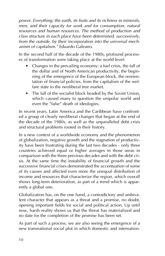*power. Everything: the earth, its fruits and its richness in minerals, men, and their capacity for work and for consumption, natural resources and human resources. The method of production and class structure in each place have been determined, successively, from the outside, by their incorporation into the universal mechanism of capitalism."* Eduardo Galeano.

In the second half of the decade of the 1980s, profound processes of transformation were taking place at the world level:

- Changes in the prevailing economy: a fuel crisis, the fall of the dollar and of North American productivity, the beginning of the emergence of the European block, the reorientation of financial policies, from the capitalism of the welfare state to the neoliberal free market.
- The fall of the socialist block headed by the Soviet Union, which caused many to question the unipolar world and even the "false" death of ideologies.

In recent years, Latin America and the Caribbean have confronted a group of clearly neoliberal changes that began at the end of the decade of the 1980s, as well as the unparalleled debt crisis and structural problems rooted in their history.

In a new context of a worldwide economy and the phenomenon of globalization, negative growth and the stagnation of productivity have been frustrating during the last two decades - only three countries achieved equal or higher averages in those areas in comparison with the three previous decades and with the debt crisis. At the same time the instability of financial growth and the successive financial crises demonstrated the accentuation of some of its causes and affected even more the unequal distribution of income and resources that characterize the region, which overall shows long-term deterioration, as part of a trend which is apparently a global one.

Globalization has, on the one hand, a contradictory and ambivalent character that appears as a threat and a promise, no doubt, opening important fields for social and political action. Up until now, harsh reality shows us that the threat has materialized and no date for the completion of the promise has been set.

As part of such a process, we are also seeing the emergence of a new transnational social plot in which domestic and internation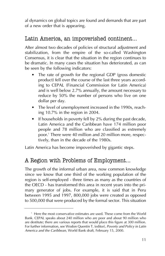al dynamics on global topics are found and demands that are part of a new order that is appearing.

### Latin America, an impoverished continent...

After almost two decades of policies of structural adjustment and stabilization, from the empire of the so-called Washington Consensus, it is clear that the situation in the region continues to be dramatic. In many cases the situation has deteriorated, as can be seen by the following indicators:

- The rate of growth for the regional GDP (gross domestic product) fell over the course of the last three years according to CEPAL (Financial Commission for Latin America) and is well below 2.7% annually, the amount necessary to reduce by 50% the number of persons who live on one dollar per day.
- The level of unemployment increased in the 1990s, reaching 10.7% in the region in 2004.
- If households in poverty fell by 2% during the past decade, Latin America and the Caribbean have 174 million poor people and 78 million who are classified as extremely poor.1 There were 40 million and 20 million more, respectively, than in the decade of the 1980s.

Latin America has become impoverished by gigantic steps.

# A Region with Problems of Employment...

The growth of the informal urban area, now common knowledge since we know that one third of the working population of the region is self-employed - three times as many as the countries of the OECD - has transformed this area in recent years into the primary generator of jobs. For example, it is said that in Peru between 1995 and 1997, 800,000 jobs were created as opposed to 500,000 that were produced by the formal sector. This situation

<sup>&</sup>lt;sup>1</sup> Here the most conservative estimates are used. These come from the World Bank. CEPAL speaks about 240 million who are poor and about 90 million who are destitute; there are various reports that would place this figure at 300 million. For further information, see Wodon Quentin T. (editor), *Poverty and Policy in Latin America and the Caribbean*, World Bank draft, February 15, 2000.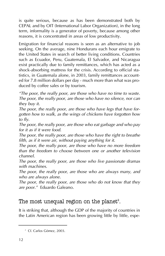is quite serious, because as has been demonstrated both by CEPAL and by OIT (International Labor Organization), in the long term, informality is a generator of poverty, because among other reasons, it is concentrated in areas of low productivity.

Emigration for financial reasons is seen as an alternative to job seeking. On the average, nine Hondurans each hour emigrate to the United States in search of better living conditions. Countries such as Ecuador, Peru, Guatemala, El Salvador, and Nicaragua exist practically due to family remittances, which has acted as a shock-absorbing mattress for the crisis. According to official statistics, in Guatemala alone, in 2003, family remittances accounted for 7.8 million dollars per day - much more than what was produced by coffee sales or by tourism.

*"The poor, the really poor, are those who have no time to waste. The poor, the really poor, are those who have no silence, nor can they buy it.*

*The poor, the really poor, are those who have legs that have forgotten how to walk, as the wings of chickens have forgotten how to fly.*

*The poor, the really poor, are those who eat garbage and who pay for it as if it were food.*

*The poor, the really poor, are those who have the right to breathe filth, as if it were air, without paying anything for it.*

*The poor, the really poor, are those who have no more freedom than the freedom to choose between one or another television channel.*

*The poor, the really poor, are those who live passionate dramas with machines.*

*The poor, the really poor, are those who are always many, and who are always alone.*

*The poor, the really poor, are those who do not know that they are poor."* Eduardo Galeano.

#### The most unequal region on the planet $^\mathrm{s}$ .

It is striking that, although the GDP of the majority of countries in the Latin American region has been growing little by little, espe-

<sup>&</sup>lt;sup>2</sup> Cf. Carlos Gómez, 2003.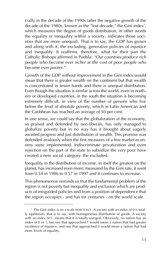cially in the decade of the 1990s (after the negative growth of the decade of the 1980s, known as the "lost decade," the Gini index $^{\rm 3}$ , which measures the degree of goods distribution, in other words the equality or inequality within a society, indicates those societies that are more unequal). That is to say, the GDP has grown and along with it, the excluding, generative policies of injustice and inequality. It reaffirms, therefore, what for their part the Catholic Bishops affirmed in Puebla: *"Our countries produce rich people who become ever richer at the cost of poor people who become ever poorer."*

Growth of the GDP without improvement in the Gini index would mean that there is greater wealth on the continent but that wealth is concentrated in fewer hands and there is unequal distribution. Even though the situation is similar across the world, even in northern or developed countries, in the south the situation is becoming extremely difficult, in view of the number of persons who live below the level of absolute poverty, which in Latin American and the Caribbean has reached an average of 50 per cent.

In one sense, we could say that the globalization of the economy, so praised and defended by neo-liberals, has only managed to globalize poverty but in no way has it brought about eagerly awaited progress and just distribution of wealth. This promise was defended zealously when the first measures of a free market economy were implemented. Indiscriminate privatization and even rejection on the part of the state to subsidize the very poor have created a new social category: the excluded.

Inequality in the distribution of income, in itself the greatest on the planet, has increased even more; measured by the Gini rate, it went from 0.54 in 1986 to 0.57 in 1997 and it continues to increase.

This phenomenon reminds us that the fundamental problem of the region is not poverty but inequality and exclusion which are products of misguided policies and from a position of dependence that the region occupies - and has for centuries - on the world scale.

<sup>&</sup>lt;sup>3</sup> The Gini index is on a scale from 0 to 1. A society with an index of 0 is totally egalitarian, that is to say, with homogeneous distribution of goods. A society with an index of 1, means that it is totally unequal. Obviously, no nation has an index of 0 or 1, but one that approached 1 would mean a nation that had greater incidence of injustice, and one that approached 0 would mean a nation that had more levels of equality.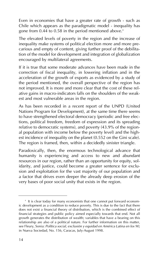Even in economies that have a greater rate of growth - such as Chile which appears as the paradigmatic model - inequality has gone from 0.44 to 0.58 in the period mentioned above.<sup>4</sup>

The elevated levels of poverty in the region and the increase of inequality make systems of political election more and more precarious and empty of content, giving further proof of the debilitation of the model for development and integration of globalization encouraged by multilateral agreements.

If it is true that some moderate advances have been made in the correction of fiscal inequality, in lowering inflation and in the acceleration of the growth of exports as evidenced by a study of the period mentioned, the overall perspective of the region has not improved. It is more and more clear that the cost of these relative gains in macro-indicators falls on the shoulders of the weakest and most vulnerable areas in the region.

As has been recorded in a recent report of the UNPD (United Nations Program for Development), at the same time there seems to have strengthened electoral democracy (periodic and free elections, political freedom, freedom of expression and its spreading relative to democratic systems), and poverty (43.9% of the regional population with income below the poverty level) and the highest incidence of inequality on the planet (0.552 on the Gini scale). The region is framed, then, within a decidedly sinister triangle.

Paradoxically, then, the enormous technological advance that humanity is experiencing and access to new and abundant resources in our region, rather than an opportunity for equity, solidarity, and justice, could become a greater sentence for exclusion and exploitation for the vast majority of our population and a factor that drives even deeper the already deep erosion of the very bases of poor social unity that exists in the region.

<sup>&</sup>lt;sup>4</sup> It is clear today for many economists that one cannot put forward economic development as a condition to reduce poverty. This is due to the fact that there does not exist a financial theory of distribution, which is the combined effect of financial strategies and public policy aimed especially towards that end. Not all growth generates the distribution of wealth; variables that have a bearing on this relationship are also of a political nature. For further information on this matter, see Fleury, Sonia: *Política social, exclusión y equidad en América Latina en los 90*, in Nueva Sociedad, No. 156, Caracas, July-August 1998.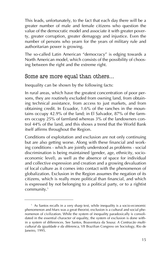This leads, unfortunately, to the fact that each day there will be a greater number of male and female citizens who question the value of the democratic model and associate it with greater poverty, greater corruption, greater demagogy and injustice. Even the number of persons who yearn for the years of military rule and authoritarian power is growing.

The so-called Latin American "democracy" is edging towards a North American model, which consists of the possibility of choosing between the right and the extreme right.

#### Some are more equal than others...

Inequality can be shown by the following facts:

In rural areas, which have the greatest concentration of poor persons, they are routinely excluded from owning land, from obtaining technical assistance, from access to just markets, and from obtaining credit. In Ecuador, 1.6% of the ranches in the mountains occupy 42.9% of the land; in El Salvador, 87% of the farmers occupy 25% of farmland whereas 3% of the landowners control 44% of the land, and this shows a trend that the World Bank itself affirms throughout the Region.

Conditions of exploitation and exclusion are not only continuing but are also getting worse. Along with these financial and working conditions - which are jointly understood as problems - social discrimination is being maintained (gender, age, ethnicity, socioeconomic level), as well as the absence of space for individual and collective expression and creation and a growing devaluation of local culture as it comes into contact with the phenomenon of globalization. Exclusion in the Region assumes the negation of its citizens, which is really more political than financial, and which is expressed by not belonging to a political party, or to a rightist community.<sup>5</sup>

<sup>&</sup>lt;sup>5</sup> As Santos recalls in a very sharp text, while inequality is a socio-economic phenomenon and Marx was a great theorist, exclusion is a cultural and social phenomenon of civilization. While the system of inequality paradoxically is consolidated in the essential character of equality, the system of exclusion is done within a system of differences. See Santos, Boaventura da Sousa: *A Contrucão multicultural da igualdade e da diferenca*, VII Brazilian Congress on Sociology, Rio de Janeiro, 1995.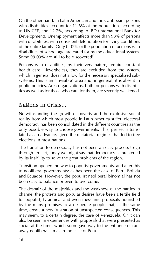On the other hand, in Latin American and the Caribbean, persons with disabilities account for 11.6% of the population, according to UNICEF, and 12.7%, according to IBD (International Bank for Development). Unemployment affects more than 98% of persons with disabilities, with consistent deterioration for living conditions of the entire family. Only 0.07% of the population of persons with disabilities of school age are cared for by the educational system. Some 99.03% are still to be discovered!

Persons with disabilities, by their very nature, require constant health care. Nevertheless, they are excluded from the system, which in general does not allow for the necessary specialized subsystems. This is an "invisible" area and, in general, it is absent in public policies. Area organizations, both for persons with disabilities as well as for those who care for them, are severely weakened.

#### Nations in Crisis...

Notwithstanding the growth of poverty and the explosive social reality from which most people in Latin America suffer, electoral democracy has been consolidated in the different countries as the only possible way to choose governments. This, per se, is translated as an advance, given the dictatorial regimes that led to free elections in most nations.

The transition to democracy has not been an easy process to go through. In fact, today we might say that democracy is threatened by its inability to solve the great problems of the region.

Transition opened the way to populist governments, and after this to neoliberal governments; as has been the case of Peru, Bolivia and Ecuador. However, the populist neoliberal binomial has not been easy to balance or even to overcome.

The despair of the majorities and the weakness of the parties to channel the protests and popular desires have been a fertile field for populist, tyrannical and even messianic proposals nourished by the many promises to a desperate people that, at the same time, create a new frustration of unsuspected consequences. This may seem, to a certain degree, the case of Venezuela. Or it can also be seen in experiences with proposals that were presented as social at the time, which soon gave way to the entrance of runaway neoliberalism as in the case of Peru.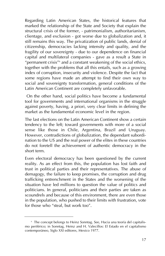Regarding Latin American States, the historical features that marked the relationship of the State and Society that explain the structural crisis of the former, - patrimonialism, authoritarianism, clientage, and exclusion - got worse due to globalization and, it still remains this way. The privatization of public lands, denial of citizenship, democracies lacking intensity and quality, and the fragility of our sovereignty - due to our dependence on financial capital and multilateral companies - gave as a result a State in "permanent crisis"6 and a constant weakening of the social ethics, together with the problems that all this entails, such as a growing index of corruption, insecurity and violence. Despite the fact that some regions have made an attempt to find their own way to social and sovereignty transformation, general conditions of the Latin American Continent are completely unfavorable.

On the other hand, social politics have become a fundamental tool for governments and international organisms in the struggle against poverty, having, a priori, very clear limits in defining the market as the fundamental economic level in the region.

The last elections on the Latin American Continent show a certain tendency to the left; toward governments with more of a social sense like those in Chile, Argentina, Brazil and Uruguay. However, contradictions of globalization, the dependant subordination to the US and the real power of the elites in these countries do not foretell the achievement of authentic democracy in the short term.

Even electoral democracy has been questioned by the current reality. As an effect from this, the population has lost faith and trust in political parties and their representatives. The abuse of demagogy, the failure to keep promises, the corruption and drug trafficking entrenchment in the States and the worsening of the situation have led millions to question the value of politics and politicians. In general, politicians and their parties are taken as scoundrels and because of this environment, there are even those in the population, who pushed to their limits with frustration, vote for those who "steal, but work too".

<sup>&</sup>lt;sup>6</sup> The concept belongs to Heinz Sonntag. See, Hacia una teoría del capitalismo periférico; in Sonntag, Heinz and H. Valecillos: El Estado en el capitalismo contemporáneo, Siglo XXI editores, Mexico 1977.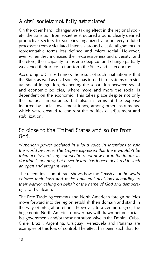# A civil society not fully articulated.

On the other hand, changes are taking effect in the regional society: the transition from societies structured around clearly defined productive sectors to societies organized around very diluted processes; from articulated interests around classic alignments to representative forms less defined and micro social. However, even when they increased their expressiveness and diversity, and therefore, their capacity to foster a deep cultural change partially weakened their force to transform the State and its economy.

According to Carlos Franco, the result of such a situation is that the State, as well as civil society, has turned into systems of residual social integration, deepening the separation between social and economic policies, where more and more the social is dependent on the economic. This takes place despite not only the political importance, but also in terms of the expense incurred by social investment funds, among other instruments, which were created to confront the politics of adjustment and stabilization.

#### So close to the United States and so far from God.

*"American power declared in a loud voice its intentions to rule the world by force. The Empire expressed that there wouldn't be tolerance towards any competition, not now nor in the future. Its doctrine is not new, but never before has it been declared in such an open and arrogant way".*

The recent invasion of Iraq, shows how the *"masters of the world enforce their laws and make unilateral decisions according to their warrior calling on behalf of the name of God and democracy"*, said Galeano.

The Free Trade Agreements and North American foreign policies move forward into the region establish their domain and stand in the way of integration efforts. However, to a certain degree, the hegemonic North American power has withdrawn before socialists governments and/or those not submissive to the Empire. Cuba, Chile, Brazil, Argentina, Uruguay, Venezuela and Panama are examples of this loss of control. The effect has been such that, for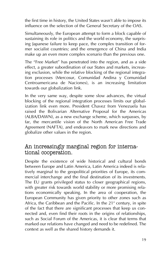the first time in history, the United States wasn't able to impose its influence on the selection of the General Secretary of the OAS.

Simultaneously, the European attempt to form a block capable of sustaining its role in politics and the world economy, the surprising Japanese failure to keep pace, the complex transition of former socialist countries; and the emergence of China and India make up an even more complex scenario than the previous one.

The "Free Market" has penetrated into the region, and as a side effect, a greater subordination of our States and markets, increasing exclusion, while the relative blocking of the regional integration processes (Mercosur, Comunidad Andina y Comunidad Centroamericana de Naciones), is an increasing limitation towards our globalization link.

In the very same way, despite some slow advances, the virtual blocking of the regional integration processes limits our globalization link even more. President Chavez from Venezuela has raised the Bolivarian Alternative Proposal for the Americas (ALBA/DAWN), as a new exchange scheme, which surpasses, by far, the mercantile vision of the North American Free Trade Agreement (NAFTA), and endeavors to mark new directions and globalize other values in the region.

#### An increasingly marginal region for international cooperation.

Despite the existence of wide historical and cultural bonds between Europe and Latin America, Latin America indeed is relatively marginal to the geopolitical priorities of Europe, its commercial interchange and the final destination of its investments. The EU grants privileged status to closer geographical regions, with greater risk towards world stability or more promising relations economically speaking. In the area of cooperation, the European Community has given priority to other zones such as Africa, the Caribbean and the Pacific. In the  $21<sup>st</sup>$  century, in spite of the fact that there are significant processes that keep us connected and, even find their roots in the origins of relationships, such as Social Forum of the Americas, it is clear that terms that marked our relations have changed and need to be redefined. The context as well as the shared history demands it.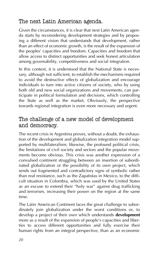# The next Latin American agenda.

Given the circumstances, it is clear that next Latin American agenda starts by reconsidering development strategies and by proposing a different vision that understands that development, rather than an effect of economic growth, is the result of the expansion of the peoples' capacities and freedom. Capacities and freedom that allow access to distinct opportunities and seek honest articulation among governability, competitiveness and social integration.

In this context, it is understood that the National State is necessary, although not sufficient, to establish the mechanisms required to avoid the destructive effects of globalization and encourage individuals to turn into active citizens of society, who by using both old and new social organizations and movements, can participate in political formulation and decisions, which controlling the State as well as the market. Obviously, the perspective towards regional integration is even more necessary and urgent.

#### The challenge of a new model of development and democracy.

The recent crisis in Argentina proves, without a doubt, the exhaustion of the development and globalization integration model supported by multilateralism; likewise, the profound political crisis, the limitations of civil society and sectors and the popular movements become obvious. This crisis was another expression of a convulsed continent struggling between an insertion of subordinated globalization or the possibility of its own project, which sends out fragmented and contradictory signs of symbolic rather than real resistance, such as the Zapatistas in Mexico, to the difficult situation in Colombia, which was used by the United States as an excuse to extend their "holy war" against drug trafficking and terrorism, increasing their power on the region at the same time.

The Latin American Continent faces the great challenge to subordinately join globalization under the worst conditions or, to develop a project of their own which understands **development** more as a result of the expansion of people's capacities and liberties to access different opportunities and fully exercise their human rights from an integral perspective, than as an economic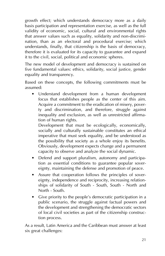growth effect; which understands democracy more as a daily basis participation and representation exercise, as well as the full validity of economic, social, cultural and environmental rights that answer values such as equality, solidarity and non-discrimination, than as an electoral and procedural exercise; which understands, finally, that citizenship is the basis of democracy, therefore it is evaluated for its capacity to guarantee and expand it to the civil, social, political and economic spheres.

The new model of development and democracy is sustained on five fundamental values: ethics, solidarity, social justice, gender equality and transparency.

Based on these concepts, the following commitments must be assumed:

• Understand development from a human development focus that establishes people as the center of this aim. Acquire a commitment to the eradication of misery, poverty and discrimination, and therefore, struggle against inequality and exclusion, as well as unrestricted affirmation of human rights.

Development that must be ecologically, economically, socially and culturally sustainable constitutes an ethical imperative that must seek equality, and be understood as the possibility that society as a whole enjoy its benefits. Obviously, development expects change and a permanent capacity to observe and analyze the social dynamic.

- Defend and support pluralism, autonomy and participation as essential conditions to guarantee popular sovereignty, maintaining the defense and promotion of peace.
- Assure that cooperation follows the principles of sovereignty, independence and reciprocity, increasing relationships of solidarity of South - South, South - North and North - South.
- Give priority to the people's democratic participation in a public scenario, the struggle against factual powers and the development and strengthening the democratic sectors of local civil societies as part of the citizenship construction process.

As a result, Latin America and the Caribbean must answer at least six great challenges: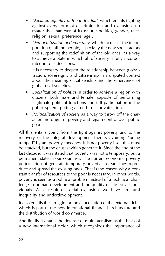- *Declared equality of the individual*, which entails fighting against every form of discrimination and exclusion, no matter the character of its nature: politics, gender, race, religion, sexual preference, age…
- *Democratization of democracy*, which increases the incorporation of all the people, especially the new social actors and supporting the redefinition of the old ones, as a way to achieve a State in which all of society is fully incorporated into its decisions.

It is necessary to deepen the relationship between globalization, sovereignty and citizenship in a disputed context about the meaning of citizenship and the emergence of global civil societies.

- *Socialization of politics* in order to achieve a region with citizens, both male and female, capable of performing legitimate political functions and full participation in the public sphere, putting an end to its privatization.
- *Politicalization of society* as a way to throw off the character and origin of poverty and regain control over public goods.

All this entails going from the fight against poverty and to the recovery of the integral development theme, avoiding "being trapped" by antipoverty speeches. It is not poverty itself that must be attacked, but the causes which generate it. Since the end of the last decade, it was stated that poverty was not a temporary, but a permanent state in our countries. The current economic poverty policies do not generate temporary poverty; instead, they reproduce and spread the existing ones. That is the reason why a constant transfer of resources to the poor is necessary. In other words, poverty is seen as a political problem instead of a technical challenge to human development and the quality of life for all individuals. As a result of social exclusion, we have structural inequality and underdevelopment.

It also entails the struggle for the cancellation of the external debt, which is part of the new international financial architecture and the distribution of world commerce.

And finally it entails the defense of multilateralism as the basis of a new international order, which recognizes the importance of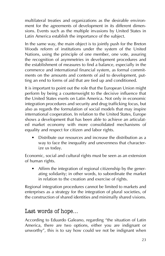multilateral treaties and organizations as the desirable environment for the agreements of development in its different dimensions. Events such as the multiple invasions by United States in Latin America establish the importance of the subject.

In the same way, the main object is to jointly push for the Breton Woods reform of institutions under the system of the United Nations, using the principle of one member, one vote, assuring the recognition of asymmetries in development procedures and the establishment of measures to find a balance, especially in the commerce and international financial system, as formal commitments on the amounts and contents of aid to development, putting an end to forms of aid that are tied up and conditioned.

It is important to point out the role that the European Union might perform by being a counterweight to the decisive influence that the United States exerts on Latin America. Not only in economic integration procedures and security and drug trafficking focus, but also as regards the formulation of social models that may inspire international cooperation. In relation to the United States, Europe shows a development that has been able to achieve an articulated market economy with more consolidated mechanisms of equality and respect for citizen and labor rights.

• Distribute our resources and increase the distribution as a way to face the inequality and unevenness that characterize us today.

Economic, social and cultural rights must be seen as an extension of human rights.

Affirm the integration of regional citizenship by the generating solidarity; in other words, to subordinate the market in relation to the creation and exercise of rights.

Regional integration procedures cannot be limited to markets and enterprises as a strategy for the integration of plural societies, of the construction of shared identities and minimally shared visions.

#### Last words of hope…

According to Eduardo Galeano, regarding "the situation of Latin America, there are two options, either you are indignant or unworthy", this is to say how could we not be indignant when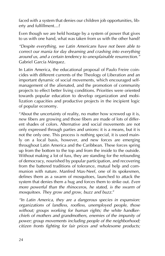faced with a system that denies our children job opportunities, liberty and fulfillment…?

Even though we are held hostage by a system of power that gives to us with one hand, what was taken from us with the other hand?

*"Despite everything, we Latin Americans have not been able to correct our mania for day dreaming and crashing into everything around us, and a certain tendency to unexplainable resurrection."* Gabriel García Márquez.

In Latin America, the educational proposal of Paulo Freire coincides with different currents of the Theology of Liberation and an important dynamic of social movements, which encouraged selfmanagement of the alienated, and the promotion of community projects to effect better living conditions. Priorities were oriented towards popular education to develop organization and mobilization capacities and productive projects in the incipient logic of popular economy.

"About the uncertainty of reality, no matter how screwed up it is, new fibers are growing and those fibers are made of lots of different shades of colors. Alternative and social movements are not only expressed through parties and unions: it is a means, but it is not the only one. This process is nothing special, it is used mainly on a local basis, however, and new forces are emerging throughout Latin America and the Caribbean. These forces spring up from the bottom to the top and from the inside to the outside. Without making a lot of fuss, they are standing for the refounding of democracy, nourished by popular participation, and recovering from the battered traditions of tolerance, mutual help and communion with nature. Manfred Max-Neef, one of its spokesmen, defines them as a swarm of mosquitoes, launched to attack the system that denies them a hug and forces them to strike out. *Even more powerful than the rhinoceros, he stated, is the swarm of mosquitoes. They grow and grow, buzz and buzz.*"

*"In Latin America, they are a dangerous species in expansion: organizations of landless, roofless, unemployed people, those without; groups working for human rights; the white handkerchiefs of mothers and grandmothers, enemies of the impunity of power; group movements including people of the neighborhood; citizen fronts fighting for fair prices and wholesome products;*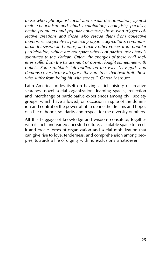*those who fight against racial and sexual discrimination, against male chauvinism and child exploitation; ecologists; pacifists; health promoters and popular educators; those who trigger collective creations and those who rescue them from collective memories; cooperatives practicing organic agriculture; communitarian television and radios; and many other voices from popular participation, which are not spare wheels of parties, nor chapels submitted to the Vatican. Often, the energies of these civil societies suffer from the harassment of power, fought sometimes with bullets. Some militants fall riddled on the way. May gods and demons cover them with glory: they are trees that bear fruit, those who suffer from being hit with stones."* García Márquez.

Latin America prides itself on having a rich history of creative searches, novel social organization, learning spaces, reflection and interchange of participative experiences among civil society groups, which have allowed, on occasion in spite of the dominion and control of the powerful- it to define the dreams and hopes of a life of honor, solidarity and respect for the diversity of others.

All this baggage of knowledge and wisdom constitute, together with its rich and varied ancestral culture, a suitable space to reedit and create forms of organization and social mobilization that can give rise to love, tenderness, and comprehension among peoples, towards a life of dignity with no exclusions whatsoever.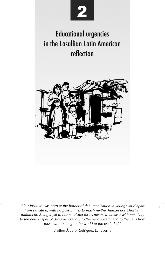

# **Educational urgencies** in the Lasallian Latin American reflection



*"Our Institute was born at the border of dehumanization: a young world apart from salvation, with no possibilities to reach neither human nor Christian fulfillment. Being loyal to our charisma for us means to answer with creativity to the new shapes of dehumanization, to the new poverty and to the calls from those who belong to the world of the excluded."* 

Brother Álvaro Rodríguez Echeverría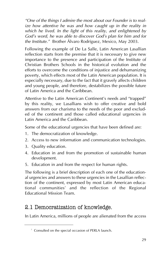*"One of the things I admire the most about our Founder is to realize how attentive he was and how caught up in the reality in which he lived. In the light of this reality, and enlightened by God's word, he was able to discover God's plan for him and for the Institute."* Brother Álvaro Rodríguez, Mexico, May 2003.

Following the example of De La Salle, Latin American Lasallian reflection starts from the premise that it is necessary to give new importance to the presence and participation of the Institute of Christian Brothers Schools in the historical evolution and the efforts to overcome the conditions of injustice and dehumanizing poverty, which effects most of the Latin American population. It is especially necessary, due to the fact that it gravely affects children and young people, and therefore, destabilizes the possible future of Latin America and the Caribbean.

Attentive to the Latin American Continent's needs and "trapped" by this reality, we Lasallians wish to offer creative and bold answers from our charisma to the needs of the poor and excluded of the continent and those called educational urgencies in Latin America and the Caribbean.

Some of the educational urgencies that have been defined are:

- 1. The democratization of knowledge.
- 2. Access to new information and communication technologies.
- 3. Quality education.
- 4. Education in and from the promotion of sustainable human development.
- 5. Education in and from the respect for human rights.

The following is a brief description of each one of the educational urgencies and answers to these urgencies in the Lasallian reflection of the continent, expressed by most Latin American educational communities<sup>7</sup> and the reflection of the Regional Educational Mission Team.

#### 2.1 Democratization of knowledge.

In Latin America, millions of people are alienated from the access

<sup>7</sup> Consulted on the special occasion of PERLA launch.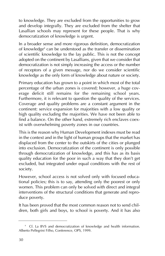to knowledge. They are excluded from the opportunities to grow and develop integrally. They are excluded from the shelter that Lasallian schools may represent for these people. That is why democratization of knowledge is urgent.

In a broader sense and more rigorous definition, democratization of knowledge<sup>8</sup> can be understood as the transfer or dissemination of scientific knowledge to the lay public. This is not the concept adopted on the continent by Lasallians, given that we consider that democratization is not simply increasing the access or the number of receptors of a given message, nor do we consider scientific knowledge as the only form of knowledge about nature or society.

Primary education has grown to a point in which most of the total percentage of the urban zones is covered; however, a huge coverage deficit still remains for the remaining school years. Furthermore, it is relevant to question the quality of the services. Coverage and quality problems are a constant argument in the continent: service expansion for majorities with a low quality or high quality excluding the majorities. We have not been able to find a balance. On the other hand, extremely rich enclaves coexist with overwhelming poverty zones in our countries.

This is the reason why Human Development indexes must be read in the context and in the light of human groups that the market has displaced from the center to the outskirts of the cities or plunged into exclusion. Democratization of the continent is only possible through democratization of knowledge, and this has as its basis quality education for the poor in such a way that they don't get excluded, but integrated under equal conditions with the rest of society.

However, school access is not solved only with focused educational policies; this is to say, attending only the poorest or only women. This problem can only be solved with direct and integral interventions of the structural conditions that generate and reproduce poverty.

It has been proved that the most common reason not to send children, both girls and boys, to school is poverty. And it has also

<sup>&</sup>lt;sup>8</sup> Cf. La BVS and democratization of knowledge and health information. Alberto Pellegrini Filho, Conference, OPS, 1999.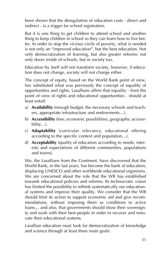been shown that the deregulation of education costs - direct and indirect - is a trigger for school registration.

But it is one thing to get children to attend school and another thing to keep children in school so they can learn how to live better. In order to stop the vicious circle of poverty, what is needed is not only an "improved education", but the best education. Not only democratization of learning, but also greater reforms: not only doors inside of schools, but in society too.

Education by itself will not transform society, however, if education does not change, society will not change either.

The concept of equity, based on the World Bank point of view, has substituted what was previously the concept of equality of opportunities and rights. Lasallians affirm that equality - from the point of view of rights and educational opportunities - should at least entail:

- a) **Availability** (enough budget, the necessary schools and teachers, appropriate infrastructure and endowments…).
- b) **Accessibility** (free, economic possibilities, geographic accessibility…).
- c) **Adaptability** (curricular relevancy, educational offering according to the specific context and population…).
- d) **Acceptability** (quality of education according to needs, interests and expectations of different communities, populations and towns).

We, the Lasallians from the Continent, have discovered that the World Bank, in the last years, has become the bank of education, displacing UNESCO and other worldwide educational organisms. We are concerned about the role that the WB has established towards educational policies and reforms. Its technocratic vision has limited the possibility to rethink systematically our educational systems and improve their quality. We consider that the WB should limit its action to support economic aid and give recommendations, without imposing them as conditions to active loans… and also, that governments should show their sovereignty and work with their best people in order to recover and renovate their educational systems.

Lasallian education must look for democratization of knowledge and science through at least three main goals: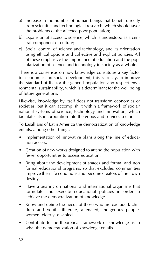- a) Increase in the number of human beings that benefit directly from scientific and technological research, which should favor the problems of the affected poor population;
- b) Expansion of access to science, which is understood as a central component of culture;
- c) Social control of science and technology, and its orientation using ethical options and collective and explicit policies. All of these emphasize the importance of education and the popularization of science and technology in society as a whole.

There is a consensus on how knowledge constitutes a key factor for economic and social development, this is to say, to improve the standard of life for the general population and respect environmental sustainability, which is a determinant for the well being of future generations.

Likewise, knowledge by itself does not transform economies or societies, but it can accomplish it within a framework of social/ national systems of science, technology and innovation, which facilitates its incorporation into the goods and services sector.

To Lasallians of Latin America the democratization of knowledge entails, among other things:

- Implementation of innovative plans along the line of education access.
- Creation of new works designed to attend the population with fewer opportunities to access education.
- Bring about the development of spaces and formal and non formal educational programs, so that excluded communities improve their life conditions and become creators of their own destiny.
- Have a bearing on national and international organisms that formulate and execute educational policies in order to achieve the democratization of knowledge.
- Know and define the needs of those who are excluded: children and youth, illiterate, alienated, indigenous people, women, elderly, disabled...
- Contribute to the theoretical framework of knowledge as to what the democratization of knowledge entails.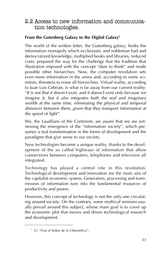#### 2.2 Access to new information and communication technologies.

#### From the Gutenberg Galaxy to the Digital Galaxy<sup>9</sup>

The world of the written letter, the Gutenberg galaxy, broke the information monopoly which ecclesiastic and nobleman had and democratized knowledge, multiplied books and libraries, reduced costs; prepared the way for the challenge that the tradition that illustration imposed with the concept "dare to think" and made possible other hierarchies. Now, the computer revolution sets even more information in the arena and, according to some scientists, threatens to erase all hierarchies. Virtual reality, according to Juan Luis Cebrián, is what is far away from our current reality: *"It is not that it doesn't exist, and it doesn't exist only because we imagine it, but it also integrates both the real and imaginary worlds at the same time, eliminating the physical and temporal distances between them, given that they transport information at the speed of light"*.

We, the Lasallians of the Continent, are aware that we are witnessing the emergence of the "information society", which presumes a real transformation in the forms of development and the paradigms that give sense to our society.

New technologies become a unique reality, thanks to the development of the so called highways of information that allow connections between computers, telephones and television all integrated.

Technology has played a central role in this revolution. Technological development and innovation are the main aim of the capitalist economic system. Generation, processing and transmission of information turn into the fundamental resources of productivity and power.

However, this concept of technology is not the only one circulating around society. On the contrary, some mythical sermons usually prevail around this subject, whose main goal is to cover up the economic plot that moves and drives technological research and development.

<sup>9</sup> Cf. "Con el Señor de la Cibernética".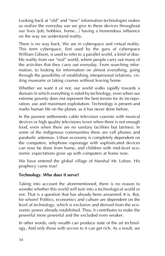Looking back at "old" and "new" information technologies makes us realize the everyday use we give to these devices throughout our lives (job, hobbies, home...) having a tremendous influence on the way we understand reality.

There is no way back. We are in cyberspace and virtual reality. This term cyberspace, first used by the guru of cyberspace William Gibson, is used to refer to a parallel world, a kind of double reality from our "real" world, where people carry out many of the activities that they carry out everyday. From searching information, to looking for information on almost everything, going through the possibility of establishing interpersonal relations, visiting museums or taking courses without leaving home.

Whether we want it or not, our world walks rapidly towards a domain in which everything is ruled by technology, even when our extreme poverty does not represent the best terrain for its incorporation, use and maximum exploitation. Technology is present and marks human life on the planet, as it has never done before.

In the poorest settlements cable television coexists with musical devices or high quality televisions (even when there is not enough food, even when there are no sanitary facilities but latrines). In some of the indigenous communities there are cell phones and parabolic antennas. Urban economy is completely dependent on the computers, telephone espionage with sophisticated devices can now be done from home, and children with mid-level economic expectations grow up with computers at home now.

We have entered the global village of Marshal Mc Luhan. His prophecy came true!

#### **Technology. Who does it serve?**

Taking into account the aforementioned, there is no reason to wonder whether this world will turn into a technological world or not. That is a question that has already been answered: It is. But, for whom? Politics, economics and culture are dependent on the level of technology, which is exclusive and derived from the economic power already established. Thus, it contributes to make the powerful more powerful and the excluded even weaker.

In other words, only wealth can produce state of the art technology. And only those with access to it can get rich. As a result, we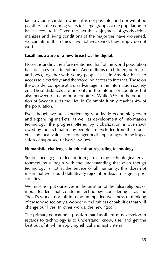face a vicious circle in which it is not possible, and nor will it be possible in the coming years for large groups of the population to have access to it. Given the fact that enjoyment of goods dehumanizes and living conditions of the majorities have worsened, we can affirm that ethics have not weakened, they simply do not exist.

#### **Lasallians aware of a new breach… the digital.**

Notwithstanding the aforementioned, half of the world population has no access to a telephone. And millions of children, both girls and boys, together with young people in Latin America have no access to electricity; and therefore, no access to Internet. Those on the outside, compete at a disadvantage in the information society era. These distances are not only in the interior of countries but also between rich and poor countries. While 65% of the population of Sweden surfs the Net, in Colombia it only reaches 4% of the population.

Even though we are experiencing worldwide economic growth and expanding markets, as well as development of information technology, the progress offered by globalization is overshadowed by the fact that many people are excluded from these benefits and local values are in danger of disappearing with the imposition of supposed universal values.

#### **Humanistic challenges in education regarding technology.**

Serious pedagogic reflection in regards to the technological environment must begin with the understanding that even though technology is not at the service of all humanity, this does not mean that we should definitively reject it or disdain its great possibilities.

We must not put ourselves in the position of the false religious or moral leaders that condemn technology considering it as the "devil's work"; nor fall into the unimpeded weakness of thinking of those who see only a wonder with limitless capabilities that will change our lives. In other words, the new "god".

The primary educational position that Lasallians must develop in regards to technology is to understand, know, use, and get the best out of it, while applying ethical and just criteria.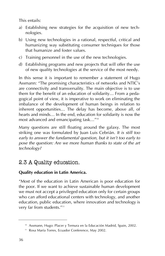This entails:

- a) Establishing new strategies for the acquisition of new technologies.
- b) Using new technologies in a rational, respectful, critical and humanizing way substituting consumer techniques for those that humanize and foster values.
- c) Training personnel in the use of the new technologies.
- d) Establishing programs and new projects that will offer the use of new quality technologies at the service of the most needy.

In this sense it is important to remember a statement of Hugo Assmann: "The promising characteristics of networks and NTIC's are connectivity and transversality. The main objective is to use them for the benefit of an education of solidarity… From a pedagogical point of view, it is imperative to work on eliminating the imbalance of the development of human beings in relation to inherent opportunities… The delay has become, above all, of hearts and minds… In the end, education for solidarity is now the most advanced and emancipating task…"10

Many questions are still floating around the galaxy. The most striking one was formulated by Juan Luis Cebrián. *It is still too early to answer the fundamental question, but it isn't too early to pose the question: Are we more human thanks to state of the art technology?*

# 2.3 A Quality education.

#### **Quality education in Latin America.**

"Most of the education in Latin American is poor education for the poor. If we want to achieve sustainable human development we must not accept a privileged education only for certain groups who can afford educational centers with technology, and another education, public education, where innovation and technology is very far from students."<sup>11</sup>

<sup>&</sup>lt;sup>10</sup> Assmann, Hugo: Placer y Ternura en la Educación Madrid, Spain, 2002.

<sup>&</sup>lt;sup>11</sup> Rosa María Torres, Ecuador Conference, May 2002.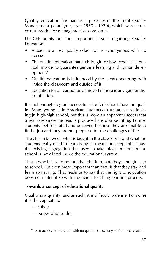Quality education has had as a predecessor the Total Quality Management paradigm (Japan 1950 - 1970), which was a successful model for management of companies.

UNICEF points out four important lessons regarding Quality Education:

- Access to a low quality education is synonymous with no access.
- The quality education that a child, girl or boy, receives is critical in order to guarantee genuine learning and human development.<sup>12</sup>
- Quality education is influenced by the events occurring both inside the classroom and outside of it.
- Education for all cannot be achieved if there is any gender discrimination.

It is not enough to grant access to school, if schools have no quality. Many young Latin American students of rural areas are finishing jr. high/high school, but this is more an apparent success that a real one since the results produced are disappointing. Former students feel frustrated and deceived because they are unable to find a job and they are not prepared for the challenges of life.

The chasm between what is taught in the classrooms and what the students really need to learn is by all means unacceptable. Thus, the existing segregation that used to take place in front of the school is now lived inside the educational system.

That is why it is so important that children, both boys and girls, go to school. But even more important than that, is that they stay and learn something. That leads us to say that the right to education does not materialize with a deficient teaching-learning process.

#### **Towards a concept of educational quality.**

Quality is a quality, and as such, it is difficult to define. For some it is the capacity to:

- Obey.
- Know what to do.

 $12$  And access to education with no quality is a synonym of no access at all.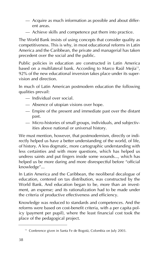- Acquire as much information as possible and about different areas.
- Achieve skills and competence put them into practice.

The World Bank insists of using concepts that consider quality as competitiveness. This is why, in most educational reforms in Latin America and the Caribbean, the private and managerial has taken precedent over the social and the public.

Public policies in education are constructed in Latin America based on a multilateral bank. According to Marco Raúl Mejía<sup>13</sup>, 92% of the new educational inversion takes place under its supervision and direction.

In much of Latin American postmodern education the following qualities prevail:

- Individual over social.
- Absence of utopian visions over hope.
- Empire of the present and immediate past over the distant past.
- Micro-histories of small groups, individuals, and subjectivities above national or universal history.

We must mention, however, that postmodernism, directly or indirectly helped us have a better understanding of the world, of life, of history. A less dogmatic, more cartographic understanding with less certainties and with more questions, which has helped us undress saints and put fingers inside some wounds..., which has helped us be more daring and more disrespectful before "official knowledge"...

In Latin America and the Caribbean, the neoliberal decalogue of education, centered on tax distribution, was constructed by the World Bank. And education began to be, more than an investment, an expense; and its rationalization had to be made under the criteria of productive effectiveness and efficiency.

Knowledge was reduced to standards and competences. And the reforms were based on cost-benefit criteria, with a per capita policy (payment per pupil), where the least financial cost took the place of the pedagogical project.

<sup>&</sup>lt;sup>13</sup> Conference given in Santa Fe de Bogotá, Colombia on July 2003.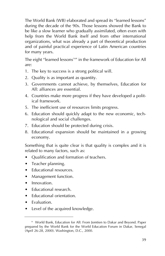The World Bank (WB) elaborated and spread its "learned lessons" during the decade of the 90s. Those lessons showed the Bank to be like a slow learner who gradually assimilated, often even with help from the World Bank itself and from other international organizations, what was already a part of theoretical production and of painful practical experience of Latin American countries for many years.

The eight "learned lessons<sup>14"</sup> in the framework of Education for All are:

- 1. The key to success is a strong political will.
- 2. Quality is as important as quantity.
- 3. Governments cannot achieve, by themselves, Education for All: alliances are essential.
- 4. Countries make more progress if they have developed a political framework.
- 5. The inefficient use of resources limits progress.
- 6. Education should quickly adapt to the new economic, technological and social challenges.
- 7. Education should be protected during crisis.
- 8. Educational expansion should be maintained in a growing economy.

Something that is quite clear is that quality is complex and it is related to many factors, such as:

- Qualification and formation of teachers.
- Teacher planning.
- **Educational resources.**
- Management function.
- Innovation.
- Educational research.
- Educational orientation.
- Evaluation.
- Level of the acquired knowledge.

<sup>&</sup>lt;sup>14</sup> World Bank, Education for All: From Jomtien to Dakar and Beyond. Paper prepared by the World Bank for the World Education Forum in Dakar, Senegal (April 26-28, 2000). Washington, D.C., 2000.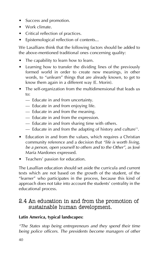- Success and promotion.
- Work climate.
- Critical reflection of practices.
- Epistemological reflection of contents...

We Lasallians think that the following factors should be added to the above-mentioned traditional ones concerning quality:

- The capability to learn how to learn.
- Learning how to transfer the dividing lines of the previously formed world in order to create new meanings, in other words, to "unlearn" things that are already known, to get to know them again in a different way (E. Morin).
- The self-organization from the multidimensional that leads us to:
	- Educate in and from uncertainty.
	- Educate in and from enjoying life.
	- Educate in and from the meaning.
	- Educate in and from the expression.
	- Educate in and from sharing time with others.
	- $-$  Educate in and from the adapting of history and culture<sup>15</sup>.
- Education in and from the values, which requires a Christian community reference and a decision that *"life is worth living, be a person, open yourself to others and to the Other"*, as José María Mardones expressed.
- Teachers' passion for education.

The Lasallian education should set aside the curricula and current texts which are not based on the growth of the student, of the "learner" who participates in the process, because this kind of approach does not take into account the students' centrality in the educational process.

#### 2.4 An education in and from the promotion of sustainable human development.

#### **Latin America, typical landscapes:**

*"The States stop being entrepreneurs and they spend their time being police officers. The presidents become managers of other*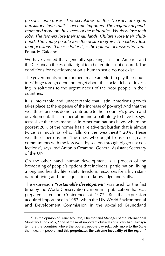*persons' enterprises. The secretaries of the Treasury are good translators. Industrialists become importers. The majority depends more and more on the excess of the minorities. Workers lose their jobs. The farmers lose their small lands. Children lose their childhood. The young people lose the desire to grow. The elderly lose their pensions. "Life is a lottery", is the opinion of those who win."* Eduardo Galeano.

We have verified that, generally speaking, in Latin America and the Caribbean the essential right to a better life is not ensured. The conditions for development on a human scale do not exist.

The governments of the moment make an effort to pay their countries' huge foreign debt and forget about the social debt, of investing in solutions to the urgent needs of the poor people in their countries.

It is intolerable and unacceptable that Latin America's growth takes place at the expense of the increase of poverty! And that the wealthiest persons do not contribute to their country's growth and development. It is an aberration and a pathology to have tax systems -like the ones many Latin American nations have- where the poorest 20% of the homes has a relative tax burden that is almost twice as much as what falls on the wealthiest<sup>16</sup> 20%. These wealthiest persons are "the ones who ought to assume greater commitments with the less wealthy sectors through bigger tax collections", says José Antonio Ocampo, General Assistant Secretary of the UN.

On the other hand, human development is a process of the broadening of people's options that includes: participation, living a long and healthy life, safety, freedom, resources for a high standard of living and the acquisition of knowledge and skills.

The expression *"sustainable development"* was used for the first time by the World Conservation Union in a publication that was prepared after the Conference of 1972. But the expression acquired importance in 1987, when the UN World Environmental and Development Commission in the so-called Brundtland

<sup>&</sup>lt;sup>16</sup> In the opinion of Francisco Rato, Director and Manager of the International Monetary Fund -IMF-, "one of the most important obstacles of a 'very bad' Tax system are the countries where the poorest people pay relatively more to the State than wealthy people, and this **perpetuates the extreme inequality of the region**."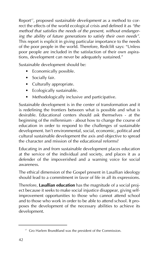Report<sup>17</sup>, proposed *sustainable development* as a method to correct the effects of the world ecological crisis and defined it as *"the method that satisfies the needs of the present, without endangering the ability of future generations to satisfy their own needs"*. This report is explicit in giving particular importance to the needs of the poor people in the world. Therefore, Redclift says: "Unless poor people are included in the satisfaction of their own aspirations, development can never be adequately sustained."

Sustainable development should be:

- Economically possible.
- Socially fair.
- Culturally appropriate.
- Ecologically sustainable.
- Methodologically inclusive and participative.

Sustainable development is in the center of transformation and it is redefining the frontiers between what is possible and what is desirable. Educational centers should ask themselves - at the beginning of the millennium - about how to change the course of education in order to respond to the challenges of sustainable development. Isn't environmental, social, economic, political and cultural sustainable development the axis and objective to spread the character and mission of the educational reforms?

Educating in and from sustainable development places education at the service of the individual and society, and places it as a defender of the impoverished and a warning voice for social awareness.

The ethical dimension of the Gospel present in Lasallian ideology should lead to a commitment in favor of life in all its expressions.

Therefore, **Lasallian education** has the magnitude of a social project because it seeks to make social injustice disappear, giving selfimprovement opportunities to those who cannot attend school and to those who work in order to be able to attend school. It proposes the development of the necessary abilities to achieve its development.

<sup>&</sup>lt;sup>17</sup> Gro Harlem Brundtland was the president of the Commission.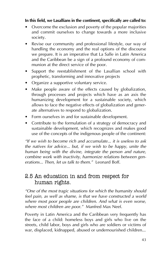#### **In this field, we Lasallians in the continent, specifically are called to:**

- Overcome the exclusion and poverty of the popular majorities and commit ourselves to change towards a more inclusive society.
- Revise our community and professional lifestyle, our way of handling the economy and the real options of the discourse we prepare. It is an imperative that La Salle in Latin America and the Caribbean be a sign of a profound economy of communion at the direct service of the poor.
- Support the reestablishment of the Lasallian school with prophetic, transforming and innovative projects
- Organize a supportive voluntary service.
- Make people aware of the effects caused by globalization, through processes and projects which have as an axis the humanizing development for a sustainable society, which allows to face the negative effects of globalization and generate alternatives to respond to globalization.
- Form ourselves in and for sustainable development.
- Contribute to the formulation of a strategy of democracy and sustainable development, which recognizes and makes good use of the concepts of the indigenous people of the continent:

*"If we wish to become rich and accumulate... it is useless to ask the natives for advice... but, if we wish to be happy, unite the human being with the divine, integrate the person and nature, combine work with inactivity, harmonize relations between generations... Then, let us talk to them."* Leonard Boff.

## 2.5 An education in and from respect for human rights.

*"One of the most tragic situations for which the humanity should feel pain, as well as shame, is that we have constructed a world where most poor people are children. And what is even worse, where most children are poor."* Manfred Max Neef.

Poverty in Latin America and the Caribbean very frequently has the face of a child: homeless boys and girls who live on the streets, child labor, boys and girls who are soldiers or victims of war, displaced, kidnapped, abused or undernourished children...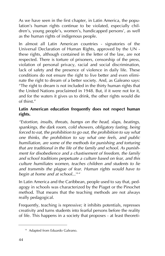As we have seen in the first chapter, in Latin America, the population's human rights continue to be violated, especially children's, young people's, women's, handicapped persons', as well as the human rights of indigenous people.

In almost all Latin American countries - signatories of the Universal Declaration of Human Rights, approved by the UN these rights, although contained in the letter of the law, are not respected. There is torture of prisoners, censorship of the press, violation of personal privacy, racial and social discrimination, lack of safety and the presence of violence in daily life. These conditions do not ensure the right to live better and even eliminate the right to dream of a better society. And, as Galeano says: "The right to dream is not included in the thirty human rights that the United Nations proclaimed in 1948. But, if it were not for it, and for the waters it gives us to drink, the other rights would die of thirst."

#### **Latin American education frequently does not respect human rights.**

*"Extortion, insults, threats, bumps on the head, slaps, beatings, spankings, the dark room, cold showers, obligatory fasting, being forced to eat, the prohibition to go out, the prohibition to say what one thinks, the prohibition to say what one feels, and public humiliation, are some of the methods for punishing and torturing that are traditional in the life of the family and school. As punishment for disobedience and a chastisement of freedom, the family and school traditions perpetuate a culture based on fear, and this culture humiliates women, teaches children and students to lie and transmits the plague of fear. Human rights would have to begin at home and at school...*<sup>18</sup>*"*

In Latin America and the Caribbean, people used to say that, pedagogy in schools was characterized by the Piaget or the Pinochet method. That means that the teaching methods are not always really pedagogical.

Frequently, teaching is repressive; it inhibits potentials, represses creativity and turns students into fearful persons before the reality of life. This happens in a society that proposes - at least theoreti-

<sup>&</sup>lt;sup>18</sup> Adapted from Eduardo Galeano.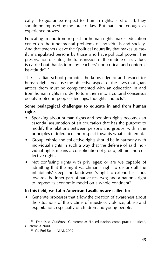cally - to guarantee respect for human rights. First of all, they should be imposed by the force of law. But that is not enough, as experience proves.

Educating in and from respect for human rights makes education center on the fundamental problems of individuals and society. And that teachers leave the "political neutrality that makes us easily manipulated persons by those who have political power. The preservation of status, the transmission of the middle class values is carried out thanks to many teachers' non-critical and conformist attitude19."

The Lasallian school promotes the knowledge of and respect for human rights because the objective aspect of the laws that guarantees them must be complemented with an education in and from human rights in order to turn them into a cultural consensus deeply rooted in people's feelings, thoughts and acts<sup>20</sup>.

#### **Some pedagogical challenges to educate in and from human rights.**

- Speaking about human rights and people's rights becomes an essential assumption of an education that has the purpose to modify the relations between persons and groups, within the principles of tolerance and respect towards what is different.
- Group, ethnic and collective rights should be in harmony with individual rights in such a way that the defense of said individual rights means a consolidation of group, ethnic and collective rights.
- Not confusing rights with privileges: or are we capable of admitting that the night watchman's right to disturb all the inhabitants' sleep; the landowner's right to extend his lands towards the inner part of native reserves; and a nation's right to impose its economic model on a whole continent?

#### **In this field, we Latin American Lasallians are called to:**

• Generate processes that allow the creation of awareness about the situations of the victims of injustice, violence, abuse and exploitation, especially of children and young people.

<sup>&</sup>lt;sup>19</sup> Francisco Gutiérrez, Conferencia: "La educación como praxis política", Guatemala 2000.

<sup>&</sup>lt;sup>20</sup> Cf. Frei Betto, ALAI, 2002.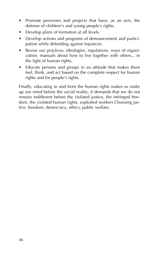- Promote processes and projects that have, as an axis, the defense of children's and young people's rights.
- Develop plans of formation at all levels.
- Develop actions and programs of denouncement and participation while defending against injustices.
- Revise our practices, ideologies, regulations, ways of organization, manuals about how to live together with others... in the light of human rights.
- Educate persons and groups in an attitude that makes them feel, think, and act based on the complete respect for human rights and for people's rights.

Finally, educating in and from the human rights makes us make up our mind before the social reality, it demands that we do not remain indifferent before the violated justice, the infringed freedom, the violated human rights, exploited workers Choosing justice, freedom, democracy, ethics, public welfare.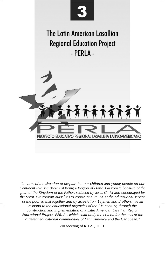

*"In view of the situation of despair that our children and young people on our Continent live, we dream of being a Region of Hope. Passionate because of the plan of the Kingdom of the Father, seduced by Jesus Christ and encouraged by the Spirit, we commit ourselves to construct a RELAL at the educational service of the poor so that together and by association, Laymen and Brothers, we all respond to the educational urgencies of the 21<sup>st</sup> century, through the construction and implementation of a Latin American Lasallian Region Educational Project -PERLA-, which shall unify the criteria for the acts of the different educational communities of Latin America and the Caribbean."*

VIII Meeting of RELAL, 2001.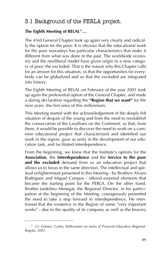## 3.1 Background of the PERLA project.

#### **The Eighth Meeting of RELAL21…**

The 43rd General Chapter took up again very clearly and radically the option for the poor. It is obvious that the educational work for the poor nowadays has particular characteristics that make it different from what was done in the past. The worldwide economy and the neoliberal model have given origin to a new category of poor: the excluded. That is the reason why this Chapter calls for an answer for this situation, so that the opportunities for everybody can be globalized and so that the excluded are integrated into history.

The Eighth Meeting of RELAL on February of the year 2001 took up again the preferential option of the General Chapter, and made a daring declaration regarding the **"Region that we want"** for the next years, the first ones of this millennium.

This Meeting started with the acknowledgement of the deeply felt situation of despair of the young and from the need to reestablish the consecration of the Lasallians on the Continent, so that, from there, it would be possible to discover the need to work on a common educational project that characterized and identified our work in the region, gave us unity in the development of our education task, and facilitated interdependence.

From the beginning, we knew that the Institute's options for the **Association**, the **Interdependence** and the **Service to the poor and the excluded** demand from us an education project that allows us to focus in the same direction. The intellectual and spiritual enlightenment presented in this Meeting - by Brothers Alvaro Rodriguez and Miguel Campos - offered essential elements that became the starting point for the PERLA. On the other hand, Brother Jardelino Menegat, the Regional Director, in his participation at the beginning of the Meeting, courageously presented the need to take a step forward in interdependence. He mentioned that the existence in the Region of some "very important works" - due to the quality of its company as well as the bravery

<sup>&</sup>lt;sup>21</sup> Cf. Gómez, Carlos, Reflexiones en torno al Proyecto Educativo Regional, Bogotá, 2001.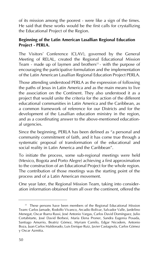of its mission among the poorest - were like a sign of the times. He said that these works would be the first calls for crystallizing the Educational Project of the Region.

#### **Beginning of the Latin American Lasallian Regional Education Project - PERLA.**

The Visitors' Conference (CLAV), governed by the General Meeting of RELAL, created the Regional Educational Mission Team  $\frac{1}{2}$  made up of laymen and brothers<sup>22</sup> - with the purpose of encouraging the participative formulation and the implementation of the Latin American Lasallian Regional Education Project PERLA.

Those attending understood PERLA as the expression of following the paths of Jesus in Latin America and as the main means to live the association on the Continent. They also understood it as a project that would unite the criteria for the action of the different educational communities in Latin America and the Caribbean, as a common framework of reference for our Districts and for the development of the Lasallian education ministry in the region, and as a coordinating answer to the above-mentioned educational urgencies.

Since the beginning, PERLA has been defined as "a personal and community commitment of faith, and it has come true through a systematic proposal of transformation of the educational and social reality in Latin America and the Caribbean".

To initiate the process, some sub-regional meetings were held (Mexico, Bogota and Porto Alegre) achieving a first approximation to the construction of an Educational Project for the whole region. The contribution of those meetings was the starting point of the process and of a Latin American movement.

One year later, the Regional Mission Team, taking into consideration information obtained from all over the continent, offered the

 $22$  These persons have been members of the Regional Educational Mission Team: Carlos Jamade, Rodolfo Vivanco, Arcadio Bolívar, Salvador Valle, Jardelino Menegat, Oscar Ibarra Russi, José Antonio Vargas, Carlos David Domínguez, Julio Cortabitarte, José David Berbesí, María Elena Proner, Sandra Eugenia Posada, Santiago Amurrio, Beatriz Gómez, Myriam Camilo, Edgar Nicodem, Antonio Boza, Juan Carlos Maldonado, Luis Enrique Ruiz, Javier Castagnola, Carlos Gómez y Oscar Azmitia.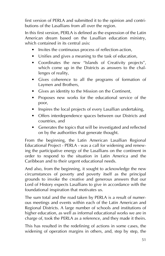first version of PERLA and submitted it to the opinion and contributions of the Lasallians from all over the region.

In this first version, PERLA is defined as the expression of the Latin American dream based on the Lasallian education ministry, which contained in its central axis:

- Invites the continuous process of reflection-action,
- Unifies and gives a meaning to the task of education,
- Coordinates the new "Islands of Creativity projects", which come up in the Districts as answers to the challenges of reality,
- Gives coherence to all the programs of formation of Laymen and Brothers,
- Gives an identity to the Mission on the Continent,
- Proposes new works for the educational service of the poor,
- Inspires the local projects of every Lasallian undertaking,
- Offers interdependence spaces between our Districts and countries, and
- Generates the topics that will be investigated and reflected on by the authorities that generate thought.

From the beginning, the Latin American Lasallian Regional Educational Project - PERLA - was a call for widening and renewing the participative energy of the Lasallians on the continent in order to respond to the situation in Latin America and the Caribbean and to their urgent educational needs.

And also, from the beginning, it sought to acknowledge the new circumstances of poverty and poverty itself as the principal grounds to invoke the creative and generous answers that our Lord of History expects Lasallians to give in accordance with the foundational inspiration that motivates us.

The sum total and the road taken by PERLA is a result of numerous meetings and events within each of the Latin American and Regional Districts. A large number of schools and institutions of higher education, as well as informal educational works we are in charge of, took the PERLA as a reference, and they made it theirs.

This has resulted in the redefining of actions in some cases, the widening of operation margins in others, and, step by step, the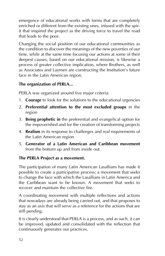emergence of educational works with forms that are completely enriched or different from the existing ones, infused with the spirit that inspired the project as the driving force to travel the road that leads to the poor.

Changing the social position of our educational communities as the condition to discover the meanings of the new poverties of our time, while at the same time focusing our actions at some of their deepest causes, based on our educational mission, is likewise a process of greater collective implication, where Brothers, as well as Associates and Laymen are constructing the Institution's future face in the Latin American region.

#### **The organization of PERLA...**

PERLA was organized around five major criteria:

- 1. **Courage** to look for the solutions to the educational urgencies
- 2. **Preferential attention to the most excluded groups** in the region
- 3. **Being prophetic in** the preferential and evangelical option for the impoverished and for the creation of transforming projects
- 4. **Realism** in its response to challenges and real requirements of the Latin American region
- 5. **Generator of a Latin American and Caribbean movement** from the bottom up and from inside out.

#### **The PERLA Project as a movement.**

The participation of many Latin American Lasallians has made it possible to create a participative process; a movement that seeks to change the face with which the Lasallians in Latin America and the Caribbean want to be known. A movement that seeks to recover and maintain the collective fire.

A coordinating movement with multiple reflections and actions that nowadays are already being carried out, and that proposes to stay as an axis that will serve as a reference for the actions that are still pending.

It is clearly understood that PERLA is a process, and as such, it can be improved, updated and consolidated with the reflection that continuously generates our practices.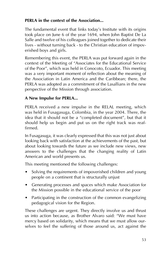#### **PERLA in the context of the Association...**

The fundamental event that links today's Institute with its origins took place on June 6 of the year 1694, when John Baptist De La Salle and twelve of his colleagues joined together to dedicate their lives - without turning back - to the Christian education of impoverished boys and girls.

Remembering this event, the PERLA was put forward again in the context of the Meeting of "Associates for the Educational Service of the Poor", which was held in Conocoto, Ecuador. This meeting was a very important moment of reflection about the meaning of the Association in Latin America and the Caribbean; there, the PERLA was adopted as a commitment of the Lasallians in the new perspective of the Mission through association.

#### **A New Impulse for PERLA...**

PERLA received a new impulse in the RELAL meeting, which was held in Fusagasuga, Colombia, in the year 2004. There, the idea that it should not be a "completed document", but that it should help us begin and put us on the right track was reaffirmed.

In Fusagasuga, it was clearly expressed that this was not just about looking back with satisfaction at the achievements of the past, but about looking towards the future as we include new views, new answers to the challenges that the changing reality of Latin American and world presents us.

This meeting mentioned the following challenges:

- Solving the requirements of impoverished children and young people on a continent that is structurally unjust
- Generating processes and spaces which make Association for the Mission possible in the educational service of the poor
- Participating in the construction of the common evangelizing pedagogical vision for the Region.

These challenges are urgent. They directly involve us and thrust us into action because, as Brother Alvaro said: "We must have mercy based on solidarity, which means that we must allow ourselves to feel the suffering of those around us, act against the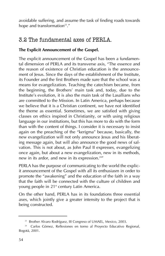avoidable suffering, and assume the task of finding roads towards hope and transformation<sup>23</sup>."

## 3.2 The fundamental axes of PERLA.

#### **The Explicit Announcement of the Gospel.**

The explicit announcement of the Gospel has been a fundamental dimension of PERLA and its transverse axis, "The essence and the reason of existence of Christian education is the announcement of Jesus. Since the days of the establishment of the Institute, its Founder and the first Brothers made sure that the school was a means for evangelization. Teaching the catechism became, from the beginning, the Brothers' main task and, today, due to the Institute's evolution, it is also the main task of the Lasallians who are committed to the Mission. In Latin America, perhaps because we believe that it is a Christian continent, we have not identified the theme as essential. Sometimes, we are satisfied with giving classes on ethics inspired in Christianity, or with using religious language in our institutions, but this has more to do with the form than with the content of things. I consider it is necessary to insist again on the preaching of the "kerigma" because, basically, the new evangelization will not only announce Jesus and his liberating message again, but will also announce the good news of salvation. This is not about, as John Paul II expresses, evangelizing once again, but about a new evangelization, new in its methods, new in its ardor, and new in its expression.<sup>24"</sup>

PERLA has the purpose of communicating to the world the explicit announcement of the Gospel with all its enthusiasm in order to promote the "awakening" and the education of the faith in a way that the faith will be connected with the culture of children and young people in 21<sup>st</sup> century Latin America.

On the other hand, PERLA has in its foundations three essential axes, which jointly give a greater intensity to the project that is being constructed.

<sup>&</sup>lt;sup>23</sup> Brother Alvaro Rodríguez, III Congreso of UMAEL, Mexico, 2003.

<sup>&</sup>lt;sup>24</sup> Carlos Gómez, Reflexiones en torno al Proyecto Educativo Regional, Bogotá, 2001.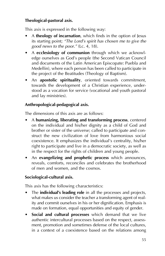#### **Theological-pastoral axis.**

This axis is expressed in the following way:

- A **theology of incarnation**, which finds in the option of Jesus its starting point; *"The Lord's spirit has chosen me to give the good news to the poor."* (Lc. 4, 18).
- A **ecclesiology of communion** through which we acknowledge ourselves as God's people (the Second Vatican Council and documents of the Latin American Episcopate: Puebla and Medellin), where each person has been called to participate in the project of the Beatitudes (Theology of Baptism).
- An **apostolic spirituality**, oriented towards commitment, towards the development of a Christian experience, understood as a vocation for service (vocational and youth pastoral and lay ministries).

#### **Anthropological-pedagogical axis.**

The dimensions of this axis are as follows:

- A **humanizing, liberating and transforming process**, centered on the individual and his/her dignity as a child of God and brother or sister of the universe; called to participate and construct the new civilization of love from harmonious social coexistence. It emphasizes the individual's centrality, his/her right to participate and live in a democratic society, as well as in the respect for the rights of children and young people.
- An **evangelizing and prophetic process** which announces, reveals, comforts, reconciles and celebrates the brotherhood of men and women, and the cosmos.

#### **Sociological-cultural axis.**

This axis has the following characteristics:

- The **individual's leading role** in all the processes and projects, what makes us consider the teacher a transforming agent of reality and commit ourselves in his or her dignification. Emphasis is made on formation, equal opportunities and equity of gender.
- **Social and cultural processes** which demand that we live authentic intercultural processes based on the respect, assessment, promotion and sometimes defense of the local cultures, in a context of a coexistence based on the relations among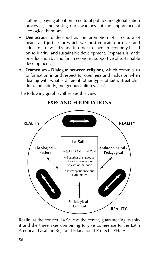cultures; paying attention to cultural politics and globalization processes, and raising our awareness of the importance of ecological harmony.

- **Democracy**, understood as the promotion of a culture of peace and justice for which we must educate ourselves and educate a new citizenry, in order to have an economy based on solidarity, and sustainable development. Emphasis is made on education by and for an economy supportive of sustainable development.
- **Ecumenism Dialogue between religions**, which commits us to formation in and respect for openness and inclusion when dealing with what is different (other types of faith, street children, the elderly, indigenous cultures, etc.).

The following graph synthesizes this view:



**EXES AND FOUNDATIONS**

Reality as the context, La Salle at the center, guaranteeing its spirit and the three axes combining to give coherence to the Latin American Lasallian Regional Educational Project - PERLA.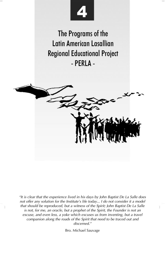

The Programs of the Latin American Lasallian **Regional Educational Project** - PERLA -



*"It is clear that the experience lived in his days by John Baptist De La Salle does not offer any solution for the Institute's life today... I do not consider it a model that should be reproduced, but a witness of the Spirit; John Baptist De La Salle is not, for me, an oracle, but a prophet of the Spirit, the Founder is not an excuse, and even less, a yoke which excuses us from inventing, but a travel companion along the roads of the Spirit that need to be traced out and discerned."*

Bro. Michael Sauvage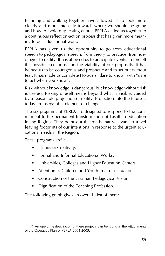Planning and walking together have allowed us to look more clearly and more intensely towards where we should be going and how to avoid duplicating efforts. PERLA called us together to a continuous reflection-action process that has given more meaning to our educational work.

PERLA has given us the opportunity to go from educational speech to pedagogical speech, from theory to practice, from ideologies to reality. It has allowed us to anticipate events, to foretell the possible scenarios and the viability of our proposals. It has helped us to be courageous and prophetic and to set out without fear. It has made us complete Horace's "dare to know" with "dare to act when you know".

Risk without knowledge is dangerous, but knowledge without risk is useless. Risking oneself means beyond what is visible, guided by a reasonable projection of reality. Projection into the future is today an inseparable element of change.

The six programs of PERLA are designed to respond to the commitment to the permanent transformation of Lasallian education in the Region. They point out the roads that we want to travel leaving footprints of our intentions in response to the urgent educational needs in the Region.

These programs are $25$ :

- Islands of Creativity.
- Formal and Informal Educational Works.
- Universities, Colleges and Higher Education Centers.
- Attention to Children and Youth in at risk situations.
- Construction of the Lasallian Pedagogical Vision.
- Dignification of the Teaching Profession.

The following graph gives an overall idea of them:

<sup>&</sup>lt;sup>25</sup> An operating description of these projects can be found in the Attachments of the Operative Plan of PERLA 2004-2005.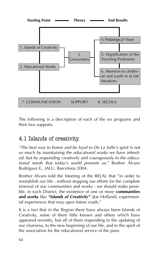

The following is a description of each of the six programs and their two supports.

## 4.1 Islands of creativity.

*"The best way to honor and be loyal to De La Salle's spirit is not so much by maintaining the educational works we have inherited, but by responding creatively and courageously to the educational needs that today's world presents us."* Brother Álvaro Rodríguez E., IALU, Barcelona 2004.

Brother Alvaro told the Meeting of the RELAL that "in order to reestablish our life - without stopping our efforts for the complete renewal of our communities and works - we should make possible, in each District, the existence of one or more **communities and works** like *"Islands of Creativity" (Joe Holland)*, experimental experiences that may open future roads."

It is a fact that in the Region there have always been Islands of Creativity, some of them little known and others which have appeared recently, but all of them responding to the updating of our charisma, to the new beginning of our life, and to the spirit of the association for the educational service of the poor.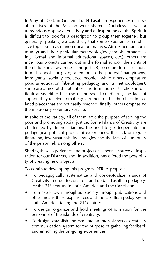In May of 2003, in Guatemala, 34 Lasallian experiences on new alternatives of the Mission were shared. Doubtless, it was a tremendous display of creativity and of inspirations of the Spirit. It is difficult to look for a description to group them together; but generally speaking we could say that some experiences emphasize topics such as ethno-education (natives, Afro-American community) and their particular methodologies (schools, broadcasting, formal and informal educational spaces, etc.); others are ingenious projects carried out in the formal school (the rights of the child, social awareness and justice); some are formal or nonformal schools for giving attention to the poorest (shantytowns, immigrants, socially excluded people), while others emphasize popular education (liberating pedagogy and its methodologies); some are aimed at the attention and formation of teachers in difficult areas either because of the social conditions, the lack of support they receive from the government or the church, or in isolated places that are not easily reached; finally, others emphasize the missionary voluntary service.

In spite of the variety, all of them have the purpose of serving the poor and promoting social justice. Some Islands of Creativity are challenged by different factors: the need to go deeper into the pedagogical political project of experiences, the lack of regular financing, few sustainability strategies and the lack of continuity of the personnel, among others.

Sharing these experiences and projects has been a source of inspiration for our Districts, and, in addition, has offered the possibility of creating new projects.

To continue developing this program, PERLA proposes:

- To pedagogically systematize and conceptualize Islands of Creativity in order to construct and update Lasallian pedagogy for the  $21<sup>st</sup>$  century in Latin America and the Caribbean.
- To make known throughout society through publications and other means these experiences and the Lasallian pedagogy in Latin America, facing the  $21<sup>st</sup>$  century.
- To design, organize and hold meetings of formation for the personnel of the islands of creativity.
- To design, establish and evaluate an inter-islands of creativity communication system for the purpose of gathering feedback and enriching the on-going experiences.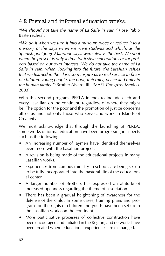## 4.2 Formal and informal education works.

*"We should not take the name of La Salle in vain."* (José Pablo Basterrechea).

*"We do it when we turn it into a museum piece or reduce it to a memory of the days when we were students and which, as the Spanish poet Jorge Manrique says, were always the best. We do it when the present is only a time for festive celebrations or for projects based on our own interests. We do not take the name of La Salle in vain, when, looking into the future, the Lasallian values that we learned in the classroom inspire us to real service in favor of children, young people, the poor, fraternity, peace and unity in the human family."* (Brother Álvaro, III UMAEL Congress, Mexico, 2003).

With this second program, PERLA intends to include each and every Lasallian on the continent, regardless of where they might be. The option for the poor and the promotion of justice concerns all of us and not only those who serve and work in Islands of Creativity.

We must acknowledge that through the launching of PERLA, some works of formal education have been progressing in aspects such as the following:

- An increasing number of laymen have identified themselves even more with the Lasallian project.
- A revision is being made of the educational projects in many Lasallian works.
- Experiences from campus ministry in schools are being set up to be fully incorporated into the pastoral life of the educational center.
- A larger number of Brothers has expressed an attitude of increased openness regarding the theme of association.
- There has been a gradual heightening of awareness for the defense of the child. In some cases, training plans and programs on the rights of children and youth have been set up in the Lasallian works on the continent.
- More participative processes of collective construction have been encouraged and initiated in the Region, and networks have been created where educational experiences are exchanged.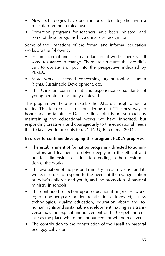- New technologies have been incorporated, together with a reflection on their ethical use.
- Formation programs for teachers have been initiated, and some of these programs have university recognition.

Some of the limitations of the formal and informal education works are the following:

- In some formal and informal educational works, there is still some resistance to change. There are structures that are difficult to update and put into the perspective indicated by PERLA.
- More work is needed concerning urgent topics: Human Rights, Sustainable Development, etc.
- The Christian commitment and experience of solidarity of young people are not fully achieved.

This program will help us make Brother Alvaro's insightful idea a reality. This idea consists of considering that "The best way to honor and be faithful to De La Salle's spirit is not so much by maintaining the educational works we have inherited, but responding creatively and courageously to the educational needs that today's world presents to us." (IALU, Barcelona, 2004).

#### **In order to continue developing this program, PERLA proposes:**

- The establishment of formation programs directed to administrators and teachers- to delve deeply into the ethical and political dimensions of education tending to the transformation of the works.
- The evaluation of the pastoral ministry in each District and its works in order to respond to the needs of the evangelization of today's children and youth, and the promotion of pastoral ministry in schools.
- The continued reflection upon educational urgencies, working on one per year: the democratization of knowledge, new technologies, quality education, education about and for human rights and sustainable development; having as a transversal axis the explicit announcement of the Gospel and culture as the place where the announcement will be received.
- The contribution to the construction of the Lasallian pastoral pedagogical vision.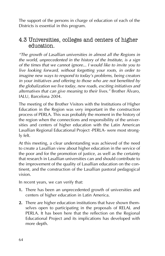The support of the persons in charge of education of each of the Districts is essential in this program.

### 4.3 Universities, colleges and centers of higher education.

*"The growth of Lasallian universities in almost all the Regions in the world, unprecedented in the history of the Institute, is a sign of the times that we cannot ignore... I would like to invite you to live looking forward, without forgetting your roots, in order to imagine new ways to respond to today's problems, being creators in your initiatives and offering to those who are not benefited by the globalization we live today, new roads, exciting initiatives and alternatives that can give meaning to their lives."* Brother Álvaro, IALU, Barcelona 2004.

The meeting of the Brother Visitors with the Institutions of Higher Education in the Region was very important in the construction process of PERLA. This was probably the moment in the history of the region when the connections and responsibility of the universities and centers of higher education with the Latin American Lasallian Regional Educational Project -PERLA- were most strongly felt.

At this meeting, a clear understanding was achieved of the need to create a Lasallian view about higher education in the service of the poor and for the promotion of justice, as well as the certainty that research in Lasallian universities can and should contribute to the improvement of the quality of Lasallian education on the continent, and the construction of the Lasallian pastoral pedagogical vision.

In recent years, we can verify that:

- **1.** There has been an unprecedented growth of universities and centers of higher education in Latin America.
- **2.** There are higher education institutions that have shown themselves open to participating in the proposals of RELAL and PERLA. It has been here that the reflection on the Regional Educational Project and its implications has developed with more depth.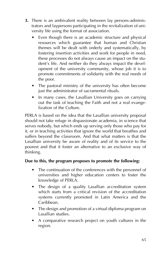- **3.** There is an ambivalent reality between lay persons-administrators and laypersons participating in the revitalization of university life using the format of association.
	- Even though there is an academic structure and physical resources which guarantee that human and Christian themes will be dealt with orderly and systematically, by fostering insertion activities and work for people in need, these processes do not always cause an impact on the student's life. And neither do they always impact the development of the university community, whose job it is to promote commitments of solidarity with the real needs of the poor.
	- The pastoral ministry of the university has often become just the administrator of sacramental rituals.
	- In many cases, the Lasallian University goes on carrying out the task of teaching the Faith and not a real evangelization of the Culture.

PERLA is based on the idea that the Lasallian university proposal should not take refuge in dispassionate academia, in science that serves nobody, but which ends up serving only those who pay for it, or in teaching activities that ignore the world that breathes and suffers beyond the classroom. And that what matters is that the Lasallian university be aware of reality and of its service to the poorest and that it foster an alternative to an exclusive way of thinking.

#### **Due to this, the program proposes to promote the following:**

- The continuation of the conferences with the personnel of universities and higher education centers to foster the knowledge of PERLA.
- The design of a quality Lasallian accreditation system which starts from a critical revision of the accreditation systems currently promoted in Latin America and the Caribbean.
- The design and promotion of a virtual diploma program on Lasallian studies.
- A comparative research project on youth cultures in the region.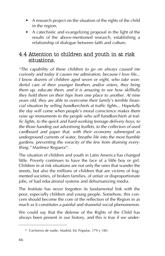- A research project on the situation of the rights of the child in the region.
- A catechistic and evangelizing proposal in the light of the results of the above-mentioned research, establishing a relationship of dialogue between faith and culture.

## 4.4 Attention to children and youth in at risk situations.

*"The capability of these children to go on always caused me curiosity and today it causes me admiration, because I love life... I know dozens of children aged seven or eight, who take wonderful care of their younger brothers and/or sisters, they bring them up, educate them, and it is amazing to see how skillfully they hold them on their hips from one place to another. At nine years old, they are able to overcome their family's terrible financial situation by selling handkerchiefs at traffic lights... Hopefully the day will come when people's moral conscience makes them raise up monuments to the people who sell handkerchiefs at traffic lights, to the quick and hard-working teenage delivery boys, to the those handing out advertising leaflets, to the collectors of used cardboard and paper that, with their economy submerged as underground currents of water, breathe life into the most humble gardens, preventing the voracity of the few from draining everything."* Martínez Reguera<sup>26</sup>.

The situation of children and youth in Latin America has changed little. Poverty continues to have the face of a little boy or girl. Children in at risk situations are not only the ones that wander the streets, but also the millions of children that are victims of fragmented societies, of broken families, of unfair or disproportionate jobs, of bad educational systems and dehumanizing media.

The Institute has never forgotten its fundamental link with the poor, especially children and young people. Somehow, this concern should become the core of the reflection of the Region in as much as it constitutes a painful and shameful social phenomenon.

We could say that the defense of the Rights of the Child has always been present in our history, and this is true if we under-

<sup>&</sup>lt;sup>26</sup> Cachorros de nadie, Madrid, Ed. Popular, 179 y 180.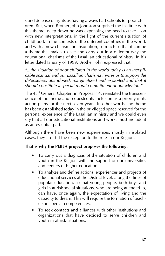stand defense of rights as having always had schools for poor children. But, when Brother John Johnston surprised the Institute with this theme, deep down he was expressing the need to take it on with new interpretations, in the light of the current situation of childhood, in the contexts of the different countries in the world, and with a new charismatic inspiration, so much so that it can be a theme that makes us see and carry out in a different way the educational charisma of the Lasallian educational ministry. In his letter dated January of 1999, Brother John expressed that:

*"...the situation of poor children in the world today is an inexplicable scandal and our Lasallian charisma invites us to support the defenseless, abandoned, marginalized and exploited and that it should constitute a special moral commitment of our Mission."*

The 43<sup>rd</sup> General Chapter, in Proposal 14, reinstated the transcendence of the theme and requested its inclusion as a priority in its action plans for the next seven years. In other words, the theme has been established today in the privileged space reserved for the personal experience of the Lasallian ministry and we could even say that all our educational institutions and works must include it as an essential part.

Although there have been new experiences, mostly in isolated cases, they are still the exception to the rule in our Region.

#### **That is why the PERLA project proposes the following:**

- To carry out a diagnosis of the situation of children and youth in the Region with the support of our universities and centers of higher education.
- To analyze and define actions, experiences and projects of educational services at the District level, along the lines of popular education, so that young people, both boys and girls in at risk social situations, who are being attended to, can have, once again, the expectation of living and the capacity to dream. This will require the formation of teachers in special competencies.
- To seek contacts and alliances with other institutions and organizations that have decided to serve children and youth in at risk situations.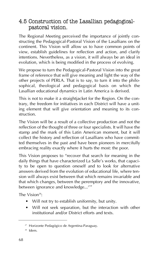## 4.5 Construction of the Lasallian pedagogicalpastoral vision.

The Regional Meeting perceived the importance of jointly constructing the Pedagogical-Pastoral Vision of the Lasallians on the continent. This Vision will allow us to have common points of view, establish guidelines for reflection and action, and clarify intentions. Nevertheless, as a vision, it will always be an ideal in evolution, which is being modified in the process of evolving.

We propose to turn the Pedagogical-Pastoral Vision into the great frame of reference that will give meaning and light the way of the other projects of PERLA. That is to say, to turn it into the philosophical, theological and pedagogical basis on which the Lasallian educational dynamics in Latin America is derived.

This is not to make it a straightjacket for the Region. On the contrary, the freedom for initiatives in each District will have a uniting element that will give orientation and meaning to its construction.

The Vision will be a result of a collective production and not the reflection of the thought of three or four specialists. It will have the stamp and the mark of this Latin American moment, but it will collect the history and reflection of Lasallians who have committed themselves in the past and have been pioneers in mercifully embracing reality exactly where it hurts the most: the poor.

This Vision proposes to "recover that search for meaning in the daily things that have characterized La Salle's works, that capacity to be open to question oneself and to look for alternative answers derived from the evolution of educational life, where tension will always exist between that which remains invariable and that which changes, between the peremptory and the innovative, between ignorance and knowledge...<sup>27"</sup>

The Vision $28$ 

- Will not try to establish uniformity, but unity.
- Will not seek separation, but the interaction with other institutional and/or District efforts and texts.

<sup>27</sup> Horizonte Pedagógico de Argentina-Paraguay.

 $28$  Idem.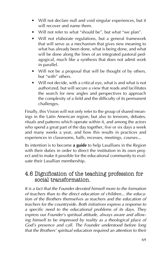- Will not declare null and void singular experiences, but it will recover and name them.
- Will not refer to what "should be", but what "we plan".
- Will not elaborate regulations, but a general framework that will serve as a mechanism that gives new meaning to what has already been done, what is being done, and what will be done along the lines of an integrated pastoral pedagogical, much like a synthesis that does not admit work in parallel.
- Will not be a proposal that will be thought of by others, but "with" others.
- Will not decide, with a critical eye, what is and what is not authorized, but will secure a view that reads and facilitates the search for new angles and perspectives to approach the complexity of a field and the difficulty of its permanent challenges.

Finally, this Vision will not only refer to the group of shared meanings in the Latin American region, but also to tensions, debates, rituals and patterns which operate within it, and among the actors who spend a great part of the day together, five or six days a week and many weeks a year, and how this results in practices and experiences in classrooms, halls, recesses, meetings, courses...

Its intention is to become **a guide** to help Lasallians in the Region with their duties in order to direct the institution in its own project and to make it possible for the educational community to evaluate their Lasallian membership.

## 4.6 Dignification of the teaching profession for social transformation.

*It is a fact that the Founder devoted himself more to the formation of teachers than to the direct education of children... the education of the Brothers themselves as teachers and the education of teachers for the countryside. Both initiatives express a response to a specific need to the educational problems of its days. They express our Founder's spiritual attitude, always aware and allowing himself to be impressed by reality as a theological place of God's presence and call. The Founder understood before long that the Brothers' spiritual education required an attention to their*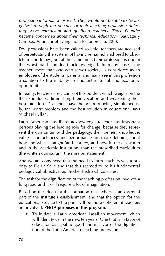*professional formation as well. They would not be able to "evangelize" through the practice of their teaching profession unless they were competent and qualified teachers. Thus, Founder became concerned about their technical education.* (Sauvage y Campos, Anunciar el Evangelio a los pobres, p. 226).

Few professions have been valued so little: teachers are accused of perpetuating the system, of having remained anchored to obsolete methodology, but at the same time, their profession is one of the worst paid and least acknowledged. In many cases, the teacher, more than one who serves society, is considered as an employee of the students' parents, and many see in this profession a solution to the inability to find better social and economic opportunities.

In reality, teachers are victims of this burden, which weighs on the their shoulders, diminishing their vocation and weakening their best intentions. "Teachers have the honor of being, simultaneously, the worst problem and the best solution in education", says Michael Fullan.

Latin American Lasallians acknowledge teachers as important persons playing the leading role for change, because they represent the curriculum and the pedagogy: their beliefs, knowledge, values, competences and performance are more defining about how and what is taught (and learned) and how in the classroom and in the academic institution, than the prescribed curriculum (the written curriculum, the mission statement).

And we are convinced that the need to form teachers was a priority to De La Salle and that this seemed to be his fundamental pedagogical objective, as Brother Pedro Chico states.

The task for the dignification of the teaching profession involves a long road and it will require a lot of imagination.

Based on the idea that the formation of teachers is an essential part of the Institute's establishment, and that the option for the educational service to the poor will be more coherent if teachers are involved, **PERLA purposes in this program**:

• To initiate a Latin American Lasallian movement which will identify us in the next ten years. One that is in favor of education as a public good and in favor of the dignification of the Latin American teaching profession.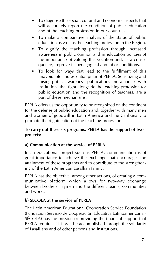- To diagnose the social, cultural and economic aspects that will accurately report the condition of public education and of the teaching profession in our countries.
- To make a comparative analysis of the status of public education as well as the teaching profession in the Region.
- To dignify the teaching profession through increased awareness in public opinion and in education policies of the importance of valuing this vocation and, as a consequence, improve its pedagogical and labor conditions.
- To look for ways that lead to the fulfillment of this unavoidable and essential pillar of PERLA. Sensitizing and raising public awareness, publications and alliances with institutions that fight alongside the teaching profession for public education and the recognition of teachers, are a part of these mechanisms.

PERLA offers us the opportunity to be recognized on the continent for the defense of public education and, together with many men and women of goodwill in Latin America and the Caribbean, to promote the dignification of the teaching profession.

#### **To carry out these six programs, PERLA has the support of two projects:**

#### **a) Communication at the service of PERLA.**

In an educational project such as PERLA, communication is of great importance to achieve the exchange that encourages the attainment of these programs and to contribute to the strengthening of the Latin American Lasallian family.

PERLA has the objective, among other actions, of creating a communicative platform which allows for two-way exchange between brothers, laymen and the different teams, communities and works.

#### **b) SECOLA at the service of PERLA**

The Latin American Educational Cooperation Service Foundation (Fundación Servicio de Cooperación Educativa Latinoamericana - SÉCOLA) has the mission of providing the financial support that PERLA requires. This will be accomplished through the solidarity of Lasallians and of other persons and institutions.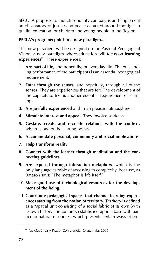SÉCOLA proposes to launch solidarity campaigns and implement an observatory of justice and peace centered around the right to quality education for children and young people in the Region.

#### **PERLA's programs point to a new paradigm...**

This new paradigm will be designed on the Pastoral Pedagogical Vision, a new paradigm where education will focus on **learning experiences**<sup>29</sup>. These experiences:

- **1. Are part of life**, and hopefully, of everyday life. The outstanding performance of the participants is an essential pedagogical requirement.
- **2. Enter through the senses**, and hopefully, through all of the senses. They are experiences that are felt. The development of the capacity to feel is another essential requirement of learning.
- **3. Are joyfully experienced** and in an pleasant atmosphere.
- **4. Stimulate interest and appeal**. They involve students.
- **5. Gestate, create and recreate relations with the context**, which is one of the starting points.
- **6. Accommodate personal, community and social implications**.
- **7. Help transform reality**.
- **8. Connect with the learner through meditation and the connecting guidelines**.
- **9. Are exposed through interaction metaphors**, which is the only language capable of accessing to complexity, because, as Bateson says: "The metaphor is life itself."
- **10. Make good use of technological resources for the development of the being**.
- **11. Contribute pedagogical spaces that channel learning experiences starting from the notion of territory**. Territory is defined as a "spatial unit consisting of a social fabric of its own (with its own history and culture), established upon a base with particular natural resources, which presents certain ways of pro-

<sup>29</sup> Cf. Gutiérrez y Prado, Conferencia, Guatemala, 2005.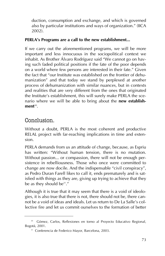duction, consumption and exchange, and which is governed also by particular institutions and ways of organization." (IICA 2002).

#### **PERLA's Programs are a call to the new establishment...**

If we carry out the aforementioned programs, we will be more important and less innocuous in the sociopolitical context we inhabit. As Brother Álvaro Rodríguez said "We cannot go on having such faded political positions if the fate of the poor depends on a world where few persons are interested in their fate." Given the fact that "our Institute was established on the frontier of dehumanization" and that today we stand by perplexed at another process of dehumanization with similar nuances, but in contexts and realities that are very different from the ones that originated the Institute's establishment, this will surely make PERLA the scenario where we will be able to bring about the **new establishment**30.

### Conclusion.

Without a doubt, PERLA is the most coherent and productive RELAL project with far-reaching implications in time and extension.

PERLA demands from us an attitude of change, because, as Espriu has written: "Without human tension, there is no mutation. Without passion... or compassion, there will not be enough persistence in rebelliousness. Those who once were committed to change are now docile. And the indispensable "civil conspiracy", as Pedro Duran Farell likes to call it, ends prematurely and is satisfied with things as they are, giving up trying to achieve that they be as they should be $31.$ "

Although it is true that it may seem that there is a void of ideologies, it is also true that there is not, there should not be, there cannot be a void of ideas and ideals. Let us return to De La Salle's collective fire and let us commit ourselves to the formation of better

<sup>&</sup>lt;sup>30</sup> Gómez, Carlos, Reflexiones en torno al Proyecto Educativo Regional, Bogotá, 2001.

<sup>&</sup>lt;sup>31</sup> Conferencia de Federico Mayor, Barcelona, 2003.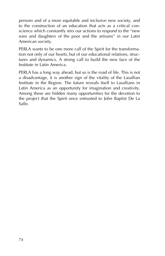persons and of a more equitable and inclusive new society, and to the construction of an education that acts as a critical conscience which constantly stirs our actions to respond to the "new sons and daughters of the poor and the artisans" in our Latin American society.

PERLA wants to be one more call of the Spirit for the transformation not only of our hearts, but of our educational relations, structures and dynamics. A strong call to build the new face of the Institute in Latin America.

PERLA has a long way ahead, but so is the road of life. This is not a disadvantage, it is another sign of the vitality of the Lasallian Institute in the Region. The future reveals itself to Lasallians in Latin America as an opportunity for imagination and creativity. Among these are hidden many opportunities for the devotion to the project that the Spirit once entrusted to John Baptist De La Salle.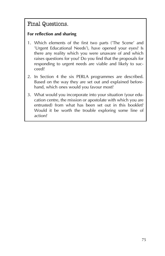## Final Questions.

#### **For reflection and sharing**

- 1. Which elements of the first two parts ('The Scene' and 'Urgent Educational Needs'), have opened your eyes? Is there any reality which you were unaware of and which raises questions for you? Do you find that the proposals for responding to urgent needs are viable and likely to succeed?
- 2. In Section 4 the six PERLA programmes are described. Based on the way they are set out and explained beforehand, which ones would you favour most?
- 3. What would you incorporate into your situation (your education centre, the mission or apostolate with which you are entrusted) from what has been set out in this booklet? Would it be worth the trouble exploring some line of action?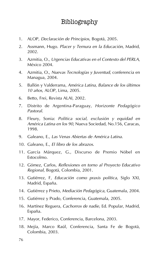## Bibliography

- 1. ALOP, *Declaración de Principios*, Bogotá, 2005.
- 2. Assmann, Hugo. *Placer y Ternura en la Educación*, Madrid, 2002.
- 3. Azmitia, O., *Urgencias Educativas en el Contexto del PERLA*, México 2004.
- 4. Azmitia, O., *Nuevas Tecnologías y Juventud*, conferencia en Managua, 2004.
- 5. Ballón y Valderrama, *América Latina, Balance de los últimos 10 años*, ALOP, Lima, 2005.
- 6. Betto, Frei, Revista ALAI, 2002.
- 7. Distrito de Argentina-Paraguay, *Horizonte Pedagógico Pastoral*.
- 8. Fleury, Sonia: *Política social, exclusión y equidad en América Latina en los 90*, Nueva Sociedad, No.156, Caracas, 1998.
- 9. Galeano, E., *Las Venas Abiertas de América Latina*.
- 10. Galeano, E., *El libro de los abrazos*.
- 11. García Márquez, G., Discurso de Premio Nóbel en Estocolmo.
- 12. Gómez, Carlos, *Reflexiones en torno al Proyecto Educativo Regional*, Bogotá, Colombia, 2001.
- 13. Gutiérrez, F, *Educación como praxis política*, Siglo XXI, Madrid, España.
- 14. Gutiérrez y Prieto, *Mediación Pedagógica*, Guatemala, 2004.
- 15. Gutiérrez y Prado, Conferencia, Guatemala, 2005.
- 16. Martínez Reguera, *Cachorros de nadie*, Ed. Popular, Madrid, España.
- 17. Mayor, Federico, Conferencia, Barcelona, 2003.
- 18. Mejía, Marco Raúl, Conferencia, Santa Fe de Bogotá, Colombia, 2003.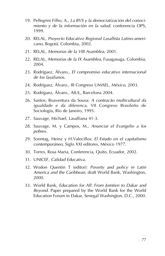- 19. Pellegrini Filho, A., *La BVS y la democratización del conocimiento y de la información en la salud*, conferencia OPS, 1999.
- 20. RELAL, *Proyecto Educativo Regional Lasallista Latino-americano*, Bogotá, Colombia, 2002.
- 21. RELAL, *Memorias de la VIII Asamblea*, 2001.
- 22. RELAL, *Memorias de la IX Asamblea*, Fusagasuga, Colombia, 2004.
- 23. Rodríguez, Álvaro., *El compromiso educativo internacional de los lasalianos*.
- 24. Rodríguez, Álvaro., III Congreso UMAEL, *México*, 2003.
- 25. Rodríguez, Álvaro., AIUL, Barcelona 2004.
- 26. Santos, Boaventura da Sousa: *A contrucão multicultural da igualdade e da diferenca*, VII Congreso Brasileño de Sociología, Río de Janeiro, 1995.
- 27. Sauvage, Michael, Lasalliana 41-3.
- 28. Sauvage, M. y Campos, M., *Anunciar el Evangelio a los pobres*.
- 29. Sonntag, Heinz y H.Valecillos: *El Estado en el capitalismo contemporáneo*, Siglo XXI editores, México 1977.
- 30. Torres, Rosa Maria, Conferencia, Quito, Ecuador, 2002.
- 31. UNICEF, *Calidad Educativa*.
- 32. Wodon Quentin T (editor): *Poverty and policy in Latin America and the Caribbean*, draft World Bank, Washington, 2000.
- 33. World Bank, *Education for All: From Jomtien to Dakar and Beyond*. Paper prepared by the World Bank for the World Education Forum in Dakar, Senegal Washington, D.C., 2000.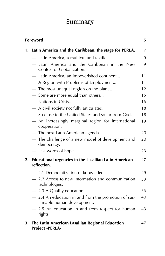# Summary

| Foreword<br>5 |                                                                                   |    |
|---------------|-----------------------------------------------------------------------------------|----|
| 1.            | Latin America and the Caribbean, the stage for PERLA.                             | 7  |
|               | - Latin America, a multicultural textile                                          | 9  |
|               | - Latin America and the Caribbean in the New<br>Context of Globalization.         | 9  |
|               | Latin America, an impoverished continent                                          | 11 |
|               | - A Region with Problems of Employment                                            | 11 |
|               | - The most unequal region on the planet.                                          | 12 |
|               | - Some are more equal than others                                                 | 15 |
|               | - Nations in Crisis                                                               | 16 |
|               | - A civil society not fully articulated.                                          | 18 |
|               | - So close to the United States and so far from God.                              | 18 |
|               | An increasingly marginal region for international<br>cooperation.                 | 19 |
|               | The next Latin American agenda.                                                   | 20 |
|               | The challenge of a new model of development and<br>democracy.                     | 20 |
|               | - Last words of hope                                                              | 23 |
| 2.            | <b>Educational urgencies in the Lasallian Latin American</b><br>reflection.       | 27 |
|               | - 2.1 Democratization of knowledge.                                               | 29 |
|               | - 2.2 Access to new information and communication<br>technologies.                | 33 |
|               | - 2.3 A Quality education.                                                        | 36 |
|               | 2.4 An education in and from the promotion of sus-<br>tainable human development. | 40 |
|               | 2.5 An education in and from respect for human<br>rights.                         | 43 |
| 3.            | The Latin American Lasallian Regional Education<br><b>Project -PERLA-</b>         | 47 |